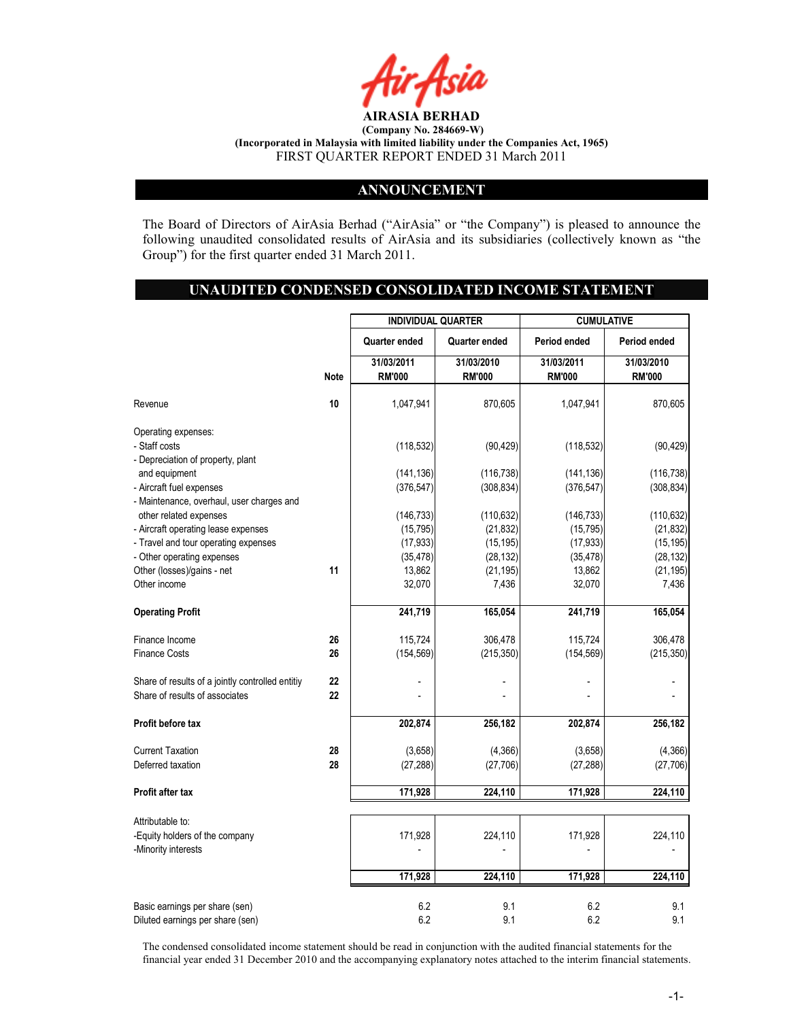

#### ANNOUNCEMENT

The Board of Directors of AirAsia Berhad ("AirAsia" or "the Company") is pleased to announce the following unaudited consolidated results of AirAsia and its subsidiaries (collectively known as "the Group") for the first quarter ended 31 March 2011.

#### UNAUDITED CONDENSED CONSOLIDATED INCOME STATEMENT

|                                                               |             | <b>INDIVIDUAL QUARTER</b> |                         | <b>CUMULATIVE</b>       |                         |
|---------------------------------------------------------------|-------------|---------------------------|-------------------------|-------------------------|-------------------------|
|                                                               |             | Quarter ended             | Quarter ended           | Period ended            | Period ended            |
|                                                               |             | 31/03/2011                | 31/03/2010              | 31/03/2011              | 31/03/2010              |
|                                                               | <b>Note</b> | <b>RM'000</b>             | <b>RM'000</b>           | <b>RM'000</b>           | <b>RM'000</b>           |
| Revenue                                                       | 10          | 1,047,941                 | 870,605                 | 1,047,941               | 870,605                 |
| Operating expenses:                                           |             |                           |                         |                         |                         |
| - Staff costs                                                 |             | (118, 532)                | (90, 429)               | (118, 532)              | (90, 429)               |
| - Depreciation of property, plant                             |             |                           |                         |                         |                         |
| and equipment                                                 |             | (141, 136)                | (116, 738)              | (141, 136)              | (116, 738)              |
| - Aircraft fuel expenses                                      |             | (376, 547)                | (308, 834)              | (376, 547)              | (308, 834)              |
| - Maintenance, overhaul, user charges and                     |             |                           |                         |                         |                         |
| other related expenses<br>- Aircraft operating lease expenses |             | (146, 733)<br>(15, 795)   | (110, 632)<br>(21, 832) | (146, 733)<br>(15, 795) | (110, 632)<br>(21, 832) |
| - Travel and tour operating expenses                          |             | (17, 933)                 | (15, 195)               | (17, 933)               | (15, 195)               |
| - Other operating expenses                                    |             | (35, 478)                 | (28, 132)               | (35, 478)               | (28, 132)               |
| Other (losses)/gains - net                                    | 11          | 13,862                    | (21, 195)               | 13,862                  | (21, 195)               |
| Other income                                                  |             | 32,070                    | 7,436                   | 32,070                  | 7,436                   |
| <b>Operating Profit</b>                                       |             | 241,719                   | 165,054                 | 241,719                 | 165,054                 |
| Finance Income                                                | 26          | 115,724                   | 306,478                 | 115,724                 | 306,478                 |
| <b>Finance Costs</b>                                          | 26          | (154, 569)                | (215, 350)              | (154, 569)              | (215, 350)              |
| Share of results of a jointly controlled entitiy              | 22          |                           |                         |                         |                         |
| Share of results of associates                                | 22          |                           |                         |                         |                         |
| Profit before tax                                             |             |                           |                         |                         |                         |
|                                                               |             | 202,874                   | 256,182                 | 202,874                 | 256,182                 |
| <b>Current Taxation</b>                                       | 28          | (3,658)                   | (4, 366)                | (3,658)                 | (4, 366)                |
| Deferred taxation                                             | 28          | (27, 288)                 | (27, 706)               | (27, 288)               | (27, 706)               |
| Profit after tax                                              |             | 171,928                   | 224,110                 | 171,928                 | 224,110                 |
|                                                               |             |                           |                         |                         |                         |
| Attributable to:<br>-Equity holders of the company            |             | 171,928                   | 224,110                 | 171,928                 | 224,110                 |
| -Minority interests                                           |             |                           |                         |                         |                         |
|                                                               |             |                           |                         |                         |                         |
|                                                               |             | 171,928                   | 224,110                 | 171,928                 | 224,110                 |
| Basic earnings per share (sen)                                |             | 6.2                       | 9.1                     | 6.2                     | 9.1                     |
| Diluted earnings per share (sen)                              |             | 6.2                       | 9.1                     | 6.2                     | 9.1                     |

The condensed consolidated income statement should be read in conjunction with the audited financial statements for the financial year ended 31 December 2010 and the accompanying explanatory notes attached to the interim financial statements.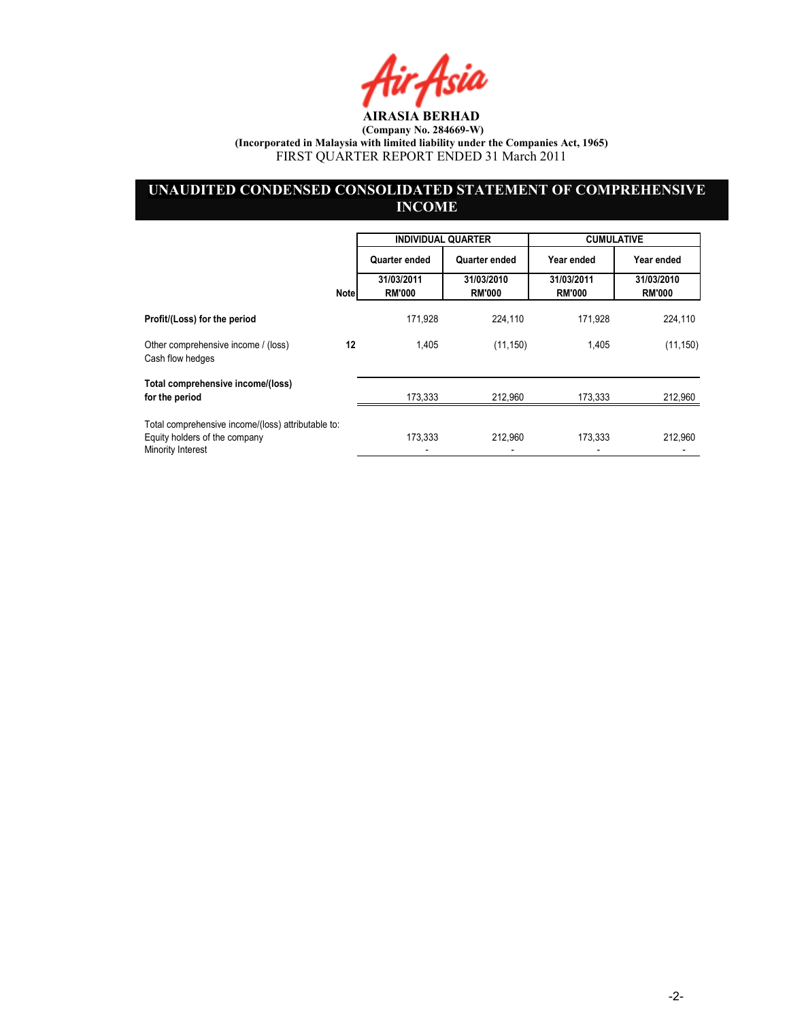Air Asia

## UNAUDITED CONDENSED CONSOLIDATED STATEMENT OF COMPREHENSIVE **INCOME**

|                                                                                                          |             | <b>INDIVIDUAL QUARTER</b>   |                             | <b>CUMULATIVE</b>           |                             |
|----------------------------------------------------------------------------------------------------------|-------------|-----------------------------|-----------------------------|-----------------------------|-----------------------------|
|                                                                                                          |             | Quarter ended               | Quarter ended               | Year ended                  | Year ended                  |
|                                                                                                          | <b>Note</b> | 31/03/2011<br><b>RM'000</b> | 31/03/2010<br><b>RM'000</b> | 31/03/2011<br><b>RM'000</b> | 31/03/2010<br><b>RM'000</b> |
| Profit/(Loss) for the period                                                                             |             | 171.928                     | 224.110                     | 171.928                     | 224,110                     |
| Other comprehensive income / (loss)<br>Cash flow hedges                                                  | 12          | 1,405                       | (11, 150)                   | 1,405                       | (11, 150)                   |
| Total comprehensive income/(loss)<br>for the period                                                      |             | 173,333                     | 212,960                     | 173,333                     | 212,960                     |
| Total comprehensive income/(loss) attributable to:<br>Equity holders of the company<br>Minority Interest |             | 173.333                     | 212,960                     | 173,333                     | 212,960                     |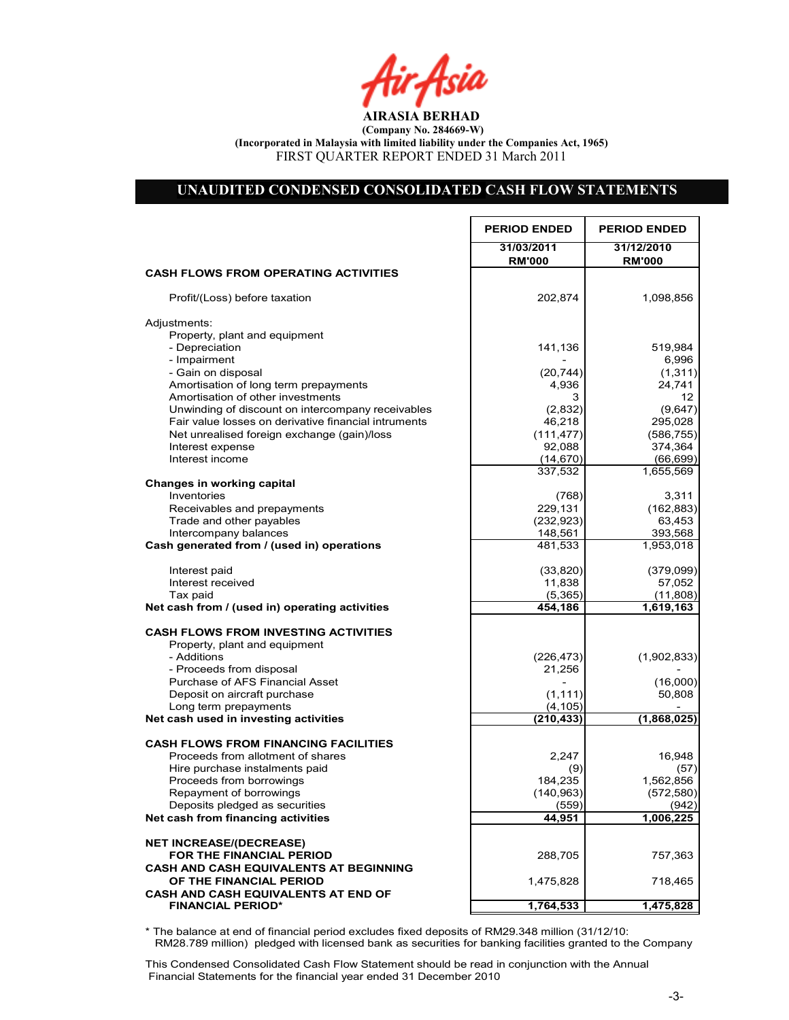tir Asia

## UNAUDITED CONDENSED CONSOLIDATED CASH FLOW STATEMENTS

r

|                                                             | <b>PERIOD ENDED</b>         | <b>PERIOD ENDED</b>         |
|-------------------------------------------------------------|-----------------------------|-----------------------------|
|                                                             | 31/03/2011<br><b>RM'000</b> | 31/12/2010<br><b>RM'000</b> |
| <b>CASH FLOWS FROM OPERATING ACTIVITIES</b>                 |                             |                             |
| Profit/(Loss) before taxation                               | 202,874                     | 1,098,856                   |
| Adjustments:                                                |                             |                             |
| Property, plant and equipment                               |                             |                             |
| - Depreciation                                              | 141,136                     | 519,984                     |
| - Impairment                                                |                             | 6,996                       |
| - Gain on disposal<br>Amortisation of long term prepayments | (20, 744)<br>4,936          | (1, 311)<br>24,741          |
| Amortisation of other investments                           | 3                           | 12                          |
| Unwinding of discount on intercompany receivables           | (2,832)                     | (9,647)                     |
| Fair value losses on derivative financial intruments        | 46,218                      | 295,028                     |
| Net unrealised foreign exchange (gain)/loss                 | (111, 477)                  | (586, 755)                  |
| Interest expense                                            | 92,088                      | 374,364                     |
| Interest income                                             | (14, 670)                   | (66, 699)                   |
|                                                             | 337,532                     | 1,655,569                   |
| Changes in working capital                                  |                             |                             |
| Inventories                                                 | (768)                       | 3,311                       |
| Receivables and prepayments                                 | 229,131                     | (162, 883)                  |
| Trade and other payables<br>Intercompany balances           | (232, 923)                  | 63,453                      |
| Cash generated from / (used in) operations                  | 148,561<br>481,533          | 393,568<br>1,953,018        |
|                                                             |                             |                             |
| Interest paid                                               | (33, 820)                   | (379,099)                   |
| Interest received                                           | 11,838                      | 57,052                      |
| Tax paid                                                    | (5,365)                     | (11,808)                    |
| Net cash from / (used in) operating activities              | 454,186                     | 1,619,163                   |
| <b>CASH FLOWS FROM INVESTING ACTIVITIES</b>                 |                             |                             |
| Property, plant and equipment                               |                             |                             |
| - Additions                                                 | (226, 473)                  | (1,902,833)                 |
| - Proceeds from disposal                                    | 21,256                      |                             |
| <b>Purchase of AFS Financial Asset</b>                      |                             | (16,000)                    |
| Deposit on aircraft purchase                                | (1, 111)                    | 50,808                      |
| Long term prepayments                                       | (4, 105)                    |                             |
| Net cash used in investing activities                       | (210, 433)                  | (1,868,025)                 |
| <b>CASH FLOWS FROM FINANCING FACILITIES</b>                 |                             |                             |
| Proceeds from allotment of shares                           | 2,247                       | 16,948                      |
| Hire purchase instalments paid                              | (9)                         | (57)                        |
| Proceeds from borrowings                                    | 184,235                     | 1,562,856                   |
| Repayment of borrowings                                     | (140, 963)                  | (572, 580)                  |
| Deposits pledged as securities                              | (559)                       | (942)                       |
| Net cash from financing activities                          | 44.951                      | 1,006,225                   |
| <b>NET INCREASE/(DECREASE)</b>                              |                             |                             |
| <b>FOR THE FINANCIAL PERIOD</b>                             | 288,705                     | 757,363                     |
| <b>CASH AND CASH EQUIVALENTS AT BEGINNING</b>               |                             |                             |
| OF THE FINANCIAL PERIOD                                     | 1,475,828                   | 718,465                     |
| <b>CASH AND CASH EQUIVALENTS AT END OF</b>                  |                             |                             |
| <b>FINANCIAL PERIOD*</b>                                    | 1,764,533                   | 1,475,828                   |

\* The balance at end of financial period excludes fixed deposits of RM29.348 million (31/12/10: RM28.789 million) pledged with licensed bank as securities for banking facilities granted to the Company

Net Cash Flow 288,705 757,363

This Condensed Consolidated Cash Flow Statement should be read in conjunction with the Annual Financial Statements for the financial year ended 31 December 2010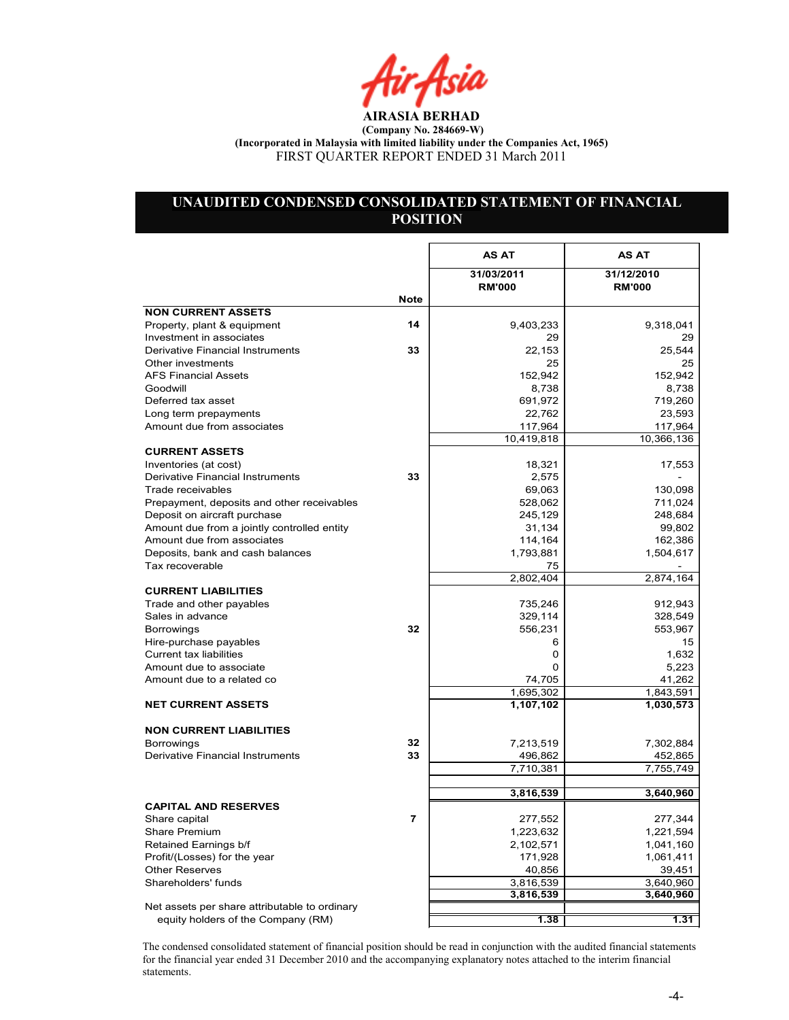Air Asia

## UNAUDITED CONDENSED CONSOLIDATED STATEMENT OF FINANCIAL **POSITION**

|                                               |             | <b>AS AT</b>                | <b>AS AT</b>                |
|-----------------------------------------------|-------------|-----------------------------|-----------------------------|
|                                               |             | 31/03/2011<br><b>RM'000</b> | 31/12/2010<br><b>RM'000</b> |
|                                               | <b>Note</b> |                             |                             |
| <b>NON CURRENT ASSETS</b>                     |             |                             |                             |
| Property, plant & equipment                   | 14          | 9,403,233                   | 9,318,041                   |
| Investment in associates                      |             | 29                          | 29                          |
| Derivative Financial Instruments              | 33          | 22,153                      | 25,544                      |
| Other investments                             |             | 25                          | 25                          |
| <b>AFS Financial Assets</b>                   |             | 152,942                     | 152,942                     |
| Goodwill                                      |             | 8,738                       | 8,738                       |
| Deferred tax asset                            |             | 691,972                     | 719,260                     |
| Long term prepayments                         |             | 22,762                      | 23,593                      |
| Amount due from associates                    |             | 117,964                     | 117,964                     |
|                                               |             | 10,419,818                  | 10,366,136                  |
| <b>CURRENT ASSETS</b>                         |             |                             |                             |
| Inventories (at cost)                         |             | 18,321                      | 17,553                      |
| Derivative Financial Instruments              | 33          | 2,575                       |                             |
| Trade receivables                             |             | 69,063                      | 130,098                     |
| Prepayment, deposits and other receivables    |             | 528,062                     | 711,024                     |
| Deposit on aircraft purchase                  |             | 245,129                     | 248,684                     |
| Amount due from a jointly controlled entity   |             | 31,134                      | 99,802                      |
| Amount due from associates                    |             | 114,164                     | 162,386                     |
| Deposits, bank and cash balances              |             | 1,793,881                   | 1,504,617                   |
| Tax recoverable                               |             | 75                          |                             |
|                                               |             | 2,802,404                   | 2,874,164                   |
| <b>CURRENT LIABILITIES</b>                    |             |                             |                             |
| Trade and other payables                      |             | 735,246                     | 912,943                     |
| Sales in advance                              |             | 329,114                     | 328,549                     |
| <b>Borrowings</b>                             | 32          | 556,231                     | 553,967                     |
| Hire-purchase payables                        |             | 6                           | 15                          |
| Current tax liabilities                       |             | 0                           | 1,632                       |
| Amount due to associate                       |             | 0                           | 5,223                       |
| Amount due to a related co                    |             | 74,705                      | 41,262                      |
|                                               |             | 1,695,302                   | 1,843,591                   |
| <b>NET CURRENT ASSETS</b>                     |             | 1,107,102                   | 1,030,573                   |
| <b>NON CURRENT LIABILITIES</b>                |             |                             |                             |
| Borrowings                                    | 32          | 7,213,519                   | 7,302,884                   |
| Derivative Financial Instruments              | 33          | 496,862                     | 452,865                     |
|                                               |             | 7,710,381                   | 7,755,749                   |
|                                               |             | 3,816,539                   | 3,640,960                   |
| <b>CAPITAL AND RESERVES</b>                   |             |                             |                             |
| Share capital                                 | 7           | 277,552                     | 277,344                     |
| <b>Share Premium</b>                          |             | 1,223,632                   | 1,221,594                   |
| Retained Earnings b/f                         |             | 2,102,571                   | 1,041,160                   |
| Profit/(Losses) for the year                  |             | 171,928                     | 1,061,411                   |
| <b>Other Reserves</b>                         |             | 40,856                      | 39,451                      |
| Shareholders' funds                           |             | 3,816,539                   | 3,640,960                   |
|                                               |             | 3,816,539                   | 3,640,960                   |
| Net assets per share attributable to ordinary |             |                             |                             |
| equity holders of the Company (RM)            |             | 1.38                        | 1.31                        |

The condensed consolidated statement of financial position should be read in conjunction with the audited financial statements for the financial year ended 31 December 2010 and the accompanying explanatory notes attached to the interim financial statements.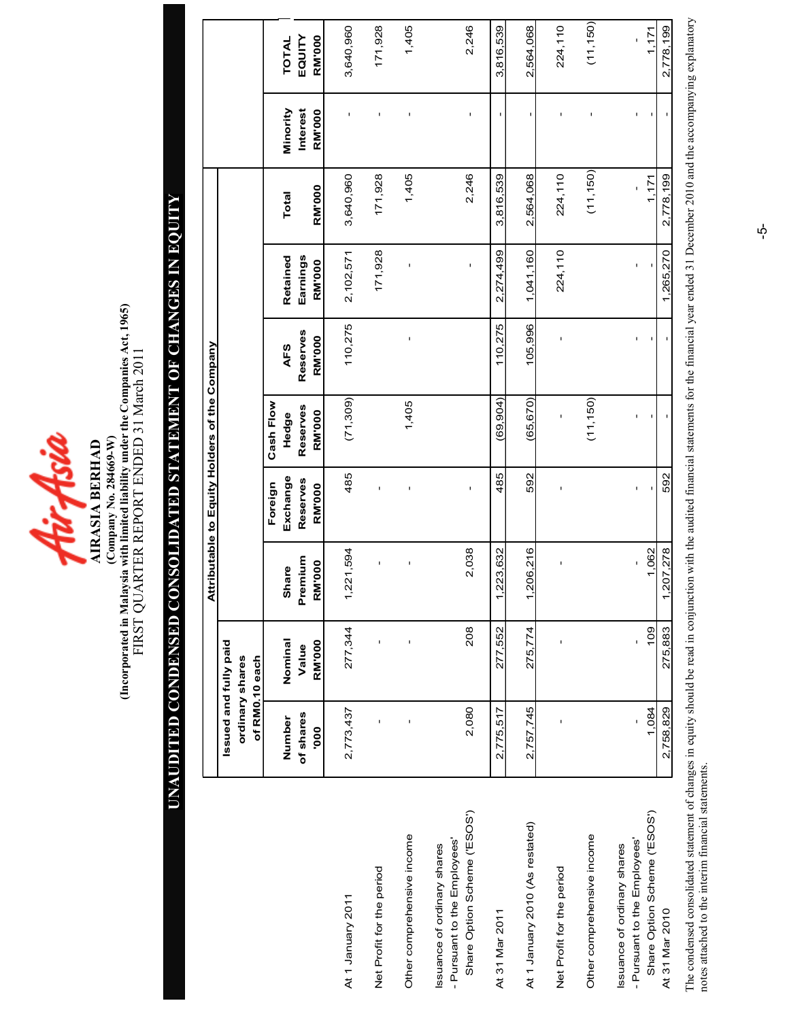

(Incorporated in Malaysia with limited liability under the Companies Act, 1965)<br>FIRST QUARTER REPORT ENDED 31 March 2011 (Incorporated in Malaysia with limited liability under the Companies Act, 1965) FIRST QUARTER REPORT ENDED 31 March 2011  $(Company No. 284669-W)$ (Company o. 284669-W) AIRASIA BERHAD

# UAUDITED CODESED COSOLIDATED STATEMET OF CHAGES I EQUITY UNAUDITED CONDENSED CONSOLIDATED STATEMENT OF CHANGES IN EQUITY

|                                                                                             |                                   |                        |                                     |                           | Attributable to Equity Holders of the Company |                           |                           |               |                                  |                         |
|---------------------------------------------------------------------------------------------|-----------------------------------|------------------------|-------------------------------------|---------------------------|-----------------------------------------------|---------------------------|---------------------------|---------------|----------------------------------|-------------------------|
|                                                                                             | Issued and fully paid             |                        |                                     |                           |                                               |                           |                           |               |                                  |                         |
|                                                                                             | of RM0.10 each<br>ordinary shares |                        |                                     |                           |                                               |                           |                           |               |                                  |                         |
|                                                                                             |                                   |                        |                                     | Foreign                   | Cash Flow                                     |                           |                           |               |                                  |                         |
|                                                                                             | Number                            | Nominal                | Share                               | Exchange                  | Hedge                                         | <b>AFS</b>                | Retained                  | <b>Total</b>  | Minority                         | TOTAL                   |
|                                                                                             | of shares<br>000                  | <b>RM'000</b><br>Value | Premium<br><b>RM'000</b>            | Reserves<br><b>RM'000</b> | Reserves<br><b>RM'000</b>                     | Reserves<br><b>RM'000</b> | Earnings<br><b>RM'000</b> | <b>RM'000</b> | <b>Interest</b><br><b>RM'000</b> | <b>RM'000</b><br>EQUITY |
| At 1 January 2011                                                                           | 2,773,437                         | 277,344                | 221,594<br>$\overline{\phantom{0}}$ | 485                       | (71, 309)                                     | 110,275                   | 2,102,571                 | 3,640,960     |                                  | 3,640,960               |
| Net Profit for the period                                                                   | $\mathbf{I}$                      |                        | ı                                   | f,                        |                                               |                           | 171,928                   | 171,928       | I.                               | 171,928                 |
| Other comprehensive income                                                                  |                                   |                        |                                     |                           | 1,405                                         | Ţ                         | ï                         | 1,405         |                                  | 1,405                   |
| Share Option Scheme ('ESOS')<br>- Pursuant to the Employees'<br>Issuance of ordinary shares | 2,080                             | 208                    | 2,038                               | Ţ                         |                                               |                           | $\mathbf{I}$              | 2,246         | f,                               | 2,246                   |
| At 31 Mar 2011                                                                              | 2,775,517                         | 277,552                | 223,632<br>↽                        | 485                       | (69,904)                                      | 110,275                   | 2,274,499                 | 3,816,539     | $\mathbf I$                      | 3,816,539               |
| At 1 January 2010 (As restated)                                                             | 2,757,745                         | 275,774                | 206,216<br>$\overline{ }$           | 592                       | (65, 670)                                     | 105,996                   | 1,041,160                 | 2,564,068     |                                  | 2,564,068               |
| Net Profit for the period                                                                   |                                   |                        |                                     | ı                         | ı                                             | ı                         | 224,110                   | 224,110       |                                  | 224,110                 |
| Other comprehensive income                                                                  |                                   |                        |                                     |                           | (11, 150)                                     |                           |                           | (11, 150)     |                                  | (11, 150)               |
| Share Option Scheme ('ESOS')<br>- Pursuant to the Employees'<br>ssuance of ordinary shares  | 1,084                             | 109                    | 1,062                               | ı                         |                                               | ı                         | ï                         | 1,171         |                                  | 1.171                   |
| At 31 Mar 2010                                                                              | 2,758,829                         | 275,883                | 207,278<br>$\overline{ }$           | 592                       |                                               |                           | 1,265,270                 | 2,778,199     |                                  | 2,778,199               |

The condensed consolidated statement of changes in equity should be read in conjunction with the audited financial statements for the financial year ended 31 December 2010 and the accompanying explanatory The condensed consolidated statement of changes in equity should be read in conjunction with the audited financial statements for the financial year ended 31 December 2010 and the accompanying explanatory notes attached to the interim financial statements. notes attached to the interim financial statements.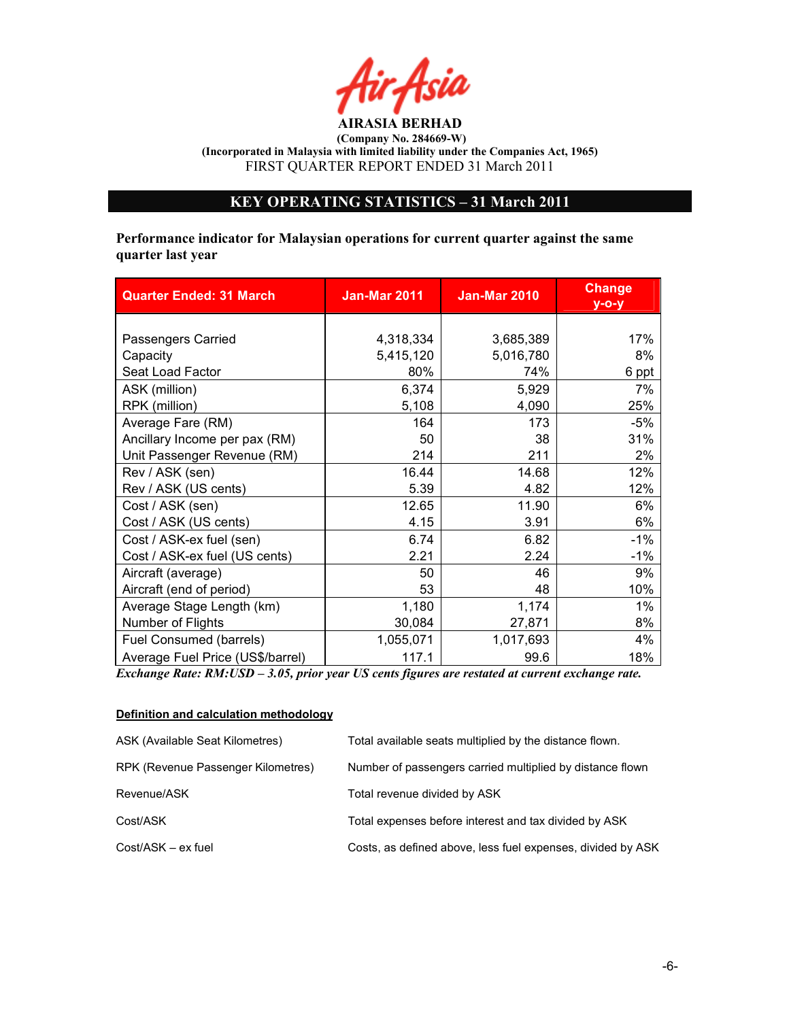# KEY OPERATIG STATISTICS – 31 March 2011

Performance indicator for Malaysian operations for current quarter against the same quarter last year

| <b>Quarter Ended: 31 March</b>   | <b>Jan-Mar 2011</b> | <b>Jan-Mar 2010</b> | <b>Change</b><br>$V - O - V$ |
|----------------------------------|---------------------|---------------------|------------------------------|
|                                  |                     |                     |                              |
| Passengers Carried               | 4,318,334           | 3,685,389           | 17%                          |
| Capacity                         | 5,415,120           | 5,016,780           | 8%                           |
| Seat Load Factor                 | 80%                 | 74%                 | 6 ppt                        |
| ASK (million)                    | 6,374               | 5,929               | 7%                           |
| RPK (million)                    | 5,108               | 4,090               | 25%                          |
| Average Fare (RM)                | 164                 | 173                 | $-5%$                        |
| Ancillary Income per pax (RM)    | 50                  | 38                  | 31%                          |
| Unit Passenger Revenue (RM)      | 214                 | 211                 | 2%                           |
| Rev / ASK (sen)                  | 16.44               | 14.68               | 12%                          |
| Rev / ASK (US cents)             | 5.39                | 4.82                | 12%                          |
| Cost / ASK (sen)                 | 12.65               | 11.90               | 6%                           |
| Cost / ASK (US cents)            | 4.15                | 3.91                | 6%                           |
| Cost / ASK-ex fuel (sen)         | 6.74                | 6.82                | $-1\%$                       |
| Cost / ASK-ex fuel (US cents)    | 2.21                | 2.24                | $-1\%$                       |
| Aircraft (average)               | 50                  | 46                  | 9%                           |
| Aircraft (end of period)         | 53                  | 48                  | 10%                          |
| Average Stage Length (km)        | 1,180               | 1,174               | 1%                           |
| Number of Flights                | 30,084              | 27,871              | 8%                           |
| Fuel Consumed (barrels)          | 1,055,071           | 1,017,693           | 4%                           |
| Average Fuel Price (US\$/barrel) | 117.1               | 99.6                | 18%                          |

Exchange Rate: RM:USD – 3.05, prior year US cents figures are restated at current exchange rate.

#### Definition and calculation methodology

| ASK (Available Seat Kilometres)    | Total available seats multiplied by the distance flown.     |
|------------------------------------|-------------------------------------------------------------|
| RPK (Revenue Passenger Kilometres) | Number of passengers carried multiplied by distance flown   |
| Revenue/ASK                        | Total revenue divided by ASK                                |
| Cost/ASK                           | Total expenses before interest and tax divided by ASK       |
| Cost/ASK - ex fuel                 | Costs, as defined above, less fuel expenses, divided by ASK |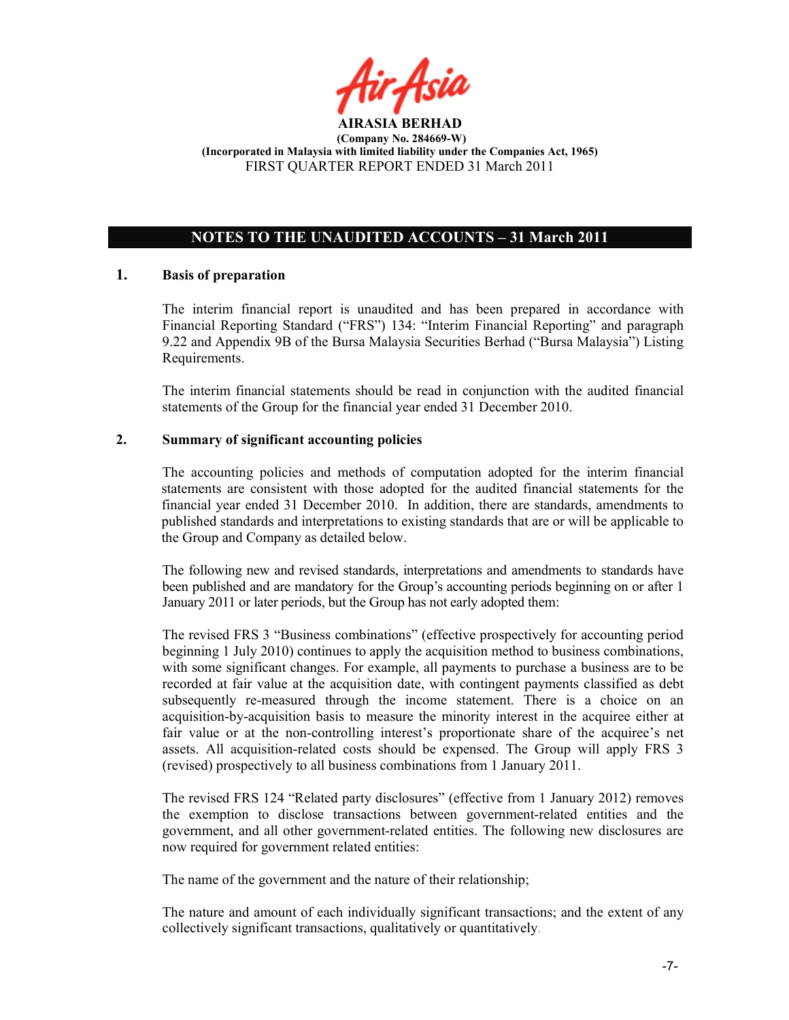

# OTES TO THE UAUDITED ACCOUTS – 31 March 2011

#### 1. Basis of preparation

The interim financial report is unaudited and has been prepared in accordance with Financial Reporting Standard ("FRS") 134: "Interim Financial Reporting" and paragraph 9.22 and Appendix 9B of the Bursa Malaysia Securities Berhad ("Bursa Malaysia") Listing Requirements.

The interim financial statements should be read in conjunction with the audited financial statements of the Group for the financial year ended 31 December 2010.

## 2. Summary of significant accounting policies

The accounting policies and methods of computation adopted for the interim financial statements are consistent with those adopted for the audited financial statements for the financial year ended 31 December 2010. In addition, there are standards, amendments to published standards and interpretations to existing standards that are or will be applicable to the Group and Company as detailed below.

The following new and revised standards, interpretations and amendments to standards have been published and are mandatory for the Group's accounting periods beginning on or after 1 January 2011 or later periods, but the Group has not early adopted them:

The revised FRS 3 "Business combinations" (effective prospectively for accounting period beginning 1 July 2010) continues to apply the acquisition method to business combinations, with some significant changes. For example, all payments to purchase a business are to be recorded at fair value at the acquisition date, with contingent payments classified as debt subsequently re-measured through the income statement. There is a choice on an acquisition-by-acquisition basis to measure the minority interest in the acquiree either at fair value or at the non-controlling interest's proportionate share of the acquiree's net assets. All acquisition-related costs should be expensed. The Group will apply FRS 3 (revised) prospectively to all business combinations from 1 January 2011.

The revised FRS 124 "Related party disclosures" (effective from 1 January 2012) removes the exemption to disclose transactions between government-related entities and the government, and all other government-related entities. The following new disclosures are now required for government related entities:

The name of the government and the nature of their relationship;

The nature and amount of each individually significant transactions; and the extent of any collectively significant transactions, qualitatively or quantitatively.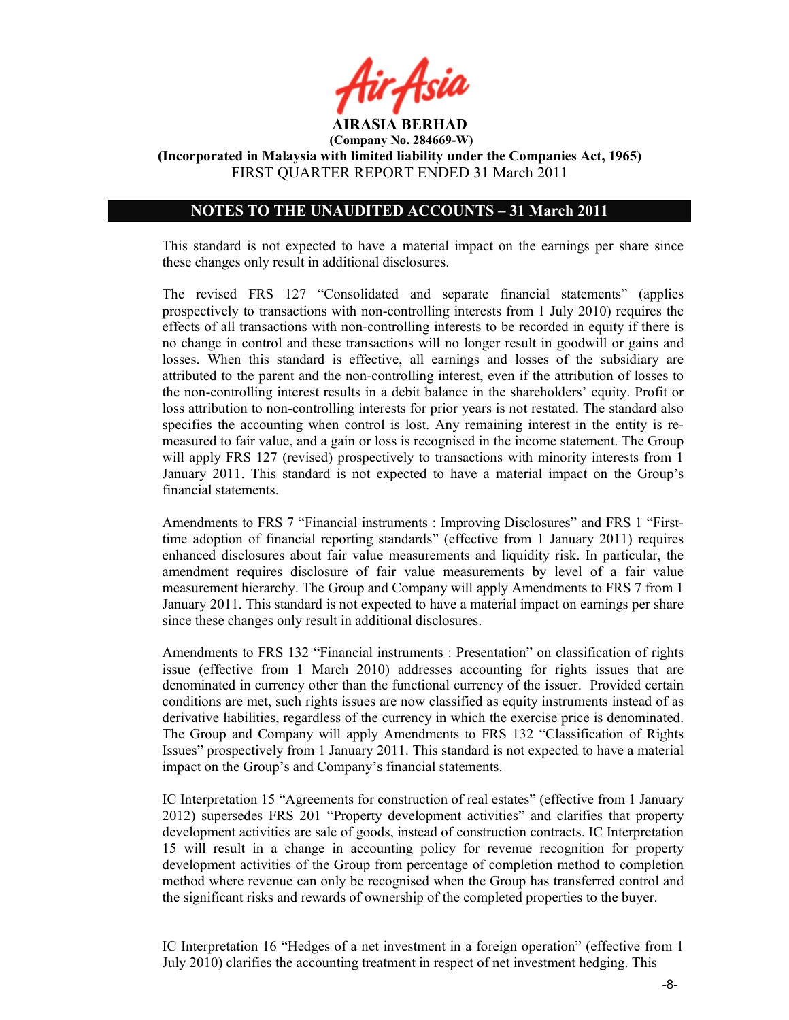

(Incorporated in Malaysia with limited liability under the Companies Act, 1965) FIRST QUARTER REPORT ENDED 31 March 2011

#### NOTES TO THE UNAUDITED ACCOUNTS - 31 March 2011

This standard is not expected to have a material impact on the earnings per share since these changes only result in additional disclosures.

The revised FRS 127 "Consolidated and separate financial statements" (applies prospectively to transactions with non-controlling interests from 1 July 2010) requires the effects of all transactions with non-controlling interests to be recorded in equity if there is no change in control and these transactions will no longer result in goodwill or gains and losses. When this standard is effective, all earnings and losses of the subsidiary are attributed to the parent and the non-controlling interest, even if the attribution of losses to the non-controlling interest results in a debit balance in the shareholders' equity. Profit or loss attribution to non-controlling interests for prior years is not restated. The standard also specifies the accounting when control is lost. Any remaining interest in the entity is remeasured to fair value, and a gain or loss is recognised in the income statement. The Group will apply FRS 127 (revised) prospectively to transactions with minority interests from 1 January 2011. This standard is not expected to have a material impact on the Group's financial statements.

Amendments to FRS 7 "Financial instruments : Improving Disclosures" and FRS 1 "Firsttime adoption of financial reporting standards" (effective from 1 January 2011) requires enhanced disclosures about fair value measurements and liquidity risk. In particular, the amendment requires disclosure of fair value measurements by level of a fair value measurement hierarchy. The Group and Company will apply Amendments to FRS 7 from 1 January 2011. This standard is not expected to have a material impact on earnings per share since these changes only result in additional disclosures.

Amendments to FRS 132 "Financial instruments : Presentation" on classification of rights issue (effective from 1 March 2010) addresses accounting for rights issues that are denominated in currency other than the functional currency of the issuer. Provided certain conditions are met, such rights issues are now classified as equity instruments instead of as derivative liabilities, regardless of the currency in which the exercise price is denominated. The Group and Company will apply Amendments to FRS 132 "Classification of Rights Issues" prospectively from 1 January 2011. This standard is not expected to have a material impact on the Group's and Company's financial statements.

IC Interpretation 15 "Agreements for construction of real estates" (effective from 1 January 2012) supersedes FRS 201 "Property development activities" and clarifies that property development activities are sale of goods, instead of construction contracts. IC Interpretation 15 will result in a change in accounting policy for revenue recognition for property development activities of the Group from percentage of completion method to completion method where revenue can only be recognised when the Group has transferred control and the significant risks and rewards of ownership of the completed properties to the buyer.

IC Interpretation 16 "Hedges of a net investment in a foreign operation" (effective from 1 July 2010) clarifies the accounting treatment in respect of net investment hedging. This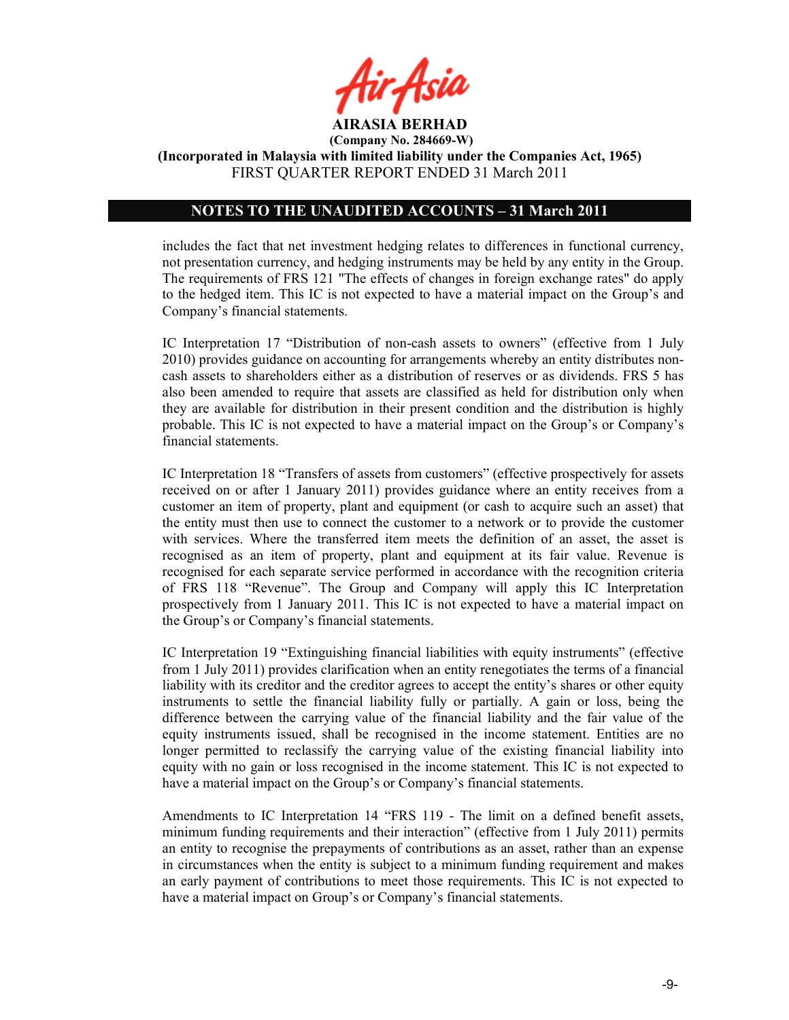

(Company No. 284669-W) (Incorporated in Malaysia with limited liability under the Companies Act, 1965)

FIRST QUARTER REPORT ENDED 31 March 2011

## NOTES TO THE UNAUDITED ACCOUNTS - 31 March 2011

includes the fact that net investment hedging relates to differences in functional currency, not presentation currency, and hedging instruments may be held by any entity in the Group. The requirements of FRS 121 "The effects of changes in foreign exchange rates" do apply to the hedged item. This IC is not expected to have a material impact on the Group's and Company's financial statements.

IC Interpretation 17 "Distribution of non-cash assets to owners" (effective from 1 July 2010) provides guidance on accounting for arrangements whereby an entity distributes noncash assets to shareholders either as a distribution of reserves or as dividends. FRS 5 has also been amended to require that assets are classified as held for distribution only when they are available for distribution in their present condition and the distribution is highly probable. This IC is not expected to have a material impact on the Group's or Company's financial statements.

IC Interpretation 18 "Transfers of assets from customers" (effective prospectively for assets received on or after 1 January 2011) provides guidance where an entity receives from a customer an item of property, plant and equipment (or cash to acquire such an asset) that the entity must then use to connect the customer to a network or to provide the customer with services. Where the transferred item meets the definition of an asset, the asset is recognised as an item of property, plant and equipment at its fair value. Revenue is recognised for each separate service performed in accordance with the recognition criteria of FRS 118 "Revenue". The Group and Company will apply this IC Interpretation prospectively from 1 January 2011. This IC is not expected to have a material impact on the Group's or Company's financial statements.

IC Interpretation 19 "Extinguishing financial liabilities with equity instruments" (effective from 1 July 2011) provides clarification when an entity renegotiates the terms of a financial liability with its creditor and the creditor agrees to accept the entity's shares or other equity instruments to settle the financial liability fully or partially. A gain or loss, being the difference between the carrying value of the financial liability and the fair value of the equity instruments issued, shall be recognised in the income statement. Entities are no longer permitted to reclassify the carrying value of the existing financial liability into equity with no gain or loss recognised in the income statement. This IC is not expected to have a material impact on the Group's or Company's financial statements.

Amendments to IC Interpretation 14 "FRS 119 - The limit on a defined benefit assets, minimum funding requirements and their interaction" (effective from 1 July 2011) permits an entity to recognise the prepayments of contributions as an asset, rather than an expense in circumstances when the entity is subject to a minimum funding requirement and makes an early payment of contributions to meet those requirements. This IC is not expected to have a material impact on Group's or Company's financial statements.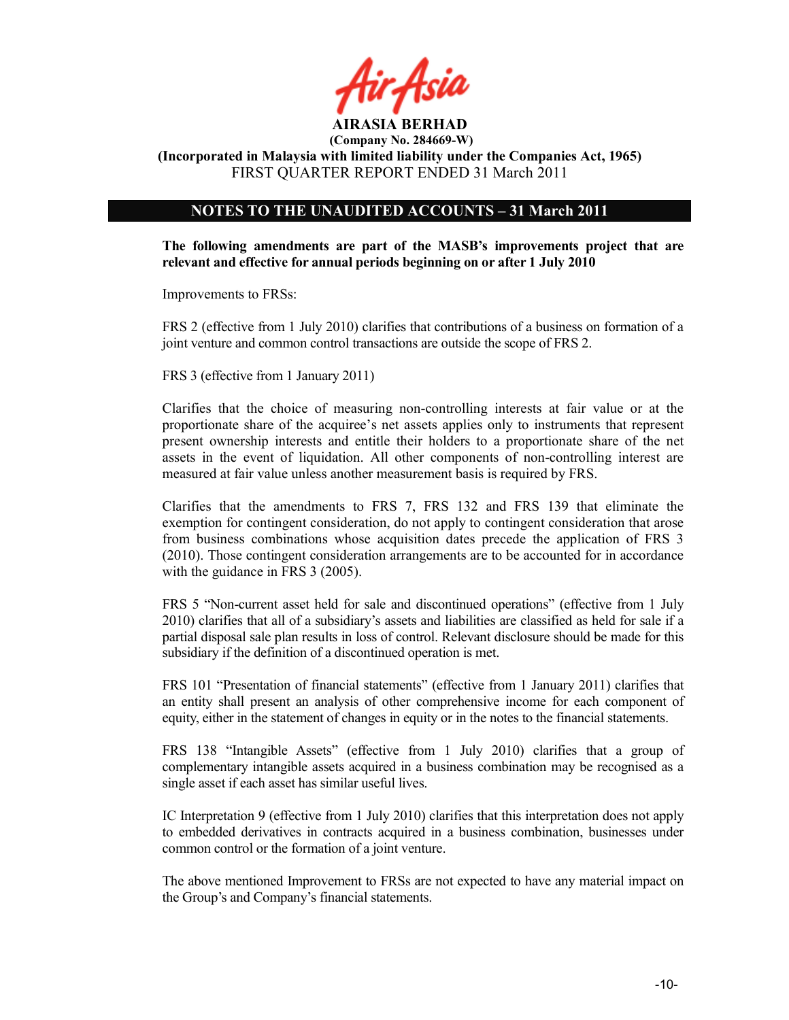

## NOTES TO THE UNAUDITED ACCOUNTS - 31 March 2011

The following amendments are part of the MASB's improvements project that are relevant and effective for annual periods beginning on or after 1 July 2010

Improvements to FRSs:

FRS 2 (effective from 1 July 2010) clarifies that contributions of a business on formation of a joint venture and common control transactions are outside the scope of FRS 2.

FRS 3 (effective from 1 January 2011)

Clarifies that the choice of measuring non-controlling interests at fair value or at the proportionate share of the acquiree's net assets applies only to instruments that represent present ownership interests and entitle their holders to a proportionate share of the net assets in the event of liquidation. All other components of non-controlling interest are measured at fair value unless another measurement basis is required by FRS.

Clarifies that the amendments to FRS 7, FRS 132 and FRS 139 that eliminate the exemption for contingent consideration, do not apply to contingent consideration that arose from business combinations whose acquisition dates precede the application of FRS 3 (2010). Those contingent consideration arrangements are to be accounted for in accordance with the guidance in FRS 3 (2005).

FRS 5 "Non-current asset held for sale and discontinued operations" (effective from 1 July 2010) clarifies that all of a subsidiary's assets and liabilities are classified as held for sale if a partial disposal sale plan results in loss of control. Relevant disclosure should be made for this subsidiary if the definition of a discontinued operation is met.

FRS 101 "Presentation of financial statements" (effective from 1 January 2011) clarifies that an entity shall present an analysis of other comprehensive income for each component of equity, either in the statement of changes in equity or in the notes to the financial statements.

FRS 138 "Intangible Assets" (effective from 1 July 2010) clarifies that a group of complementary intangible assets acquired in a business combination may be recognised as a single asset if each asset has similar useful lives.

IC Interpretation 9 (effective from 1 July 2010) clarifies that this interpretation does not apply to embedded derivatives in contracts acquired in a business combination, businesses under common control or the formation of a joint venture.

The above mentioned Improvement to FRSs are not expected to have any material impact on the Group's and Company's financial statements.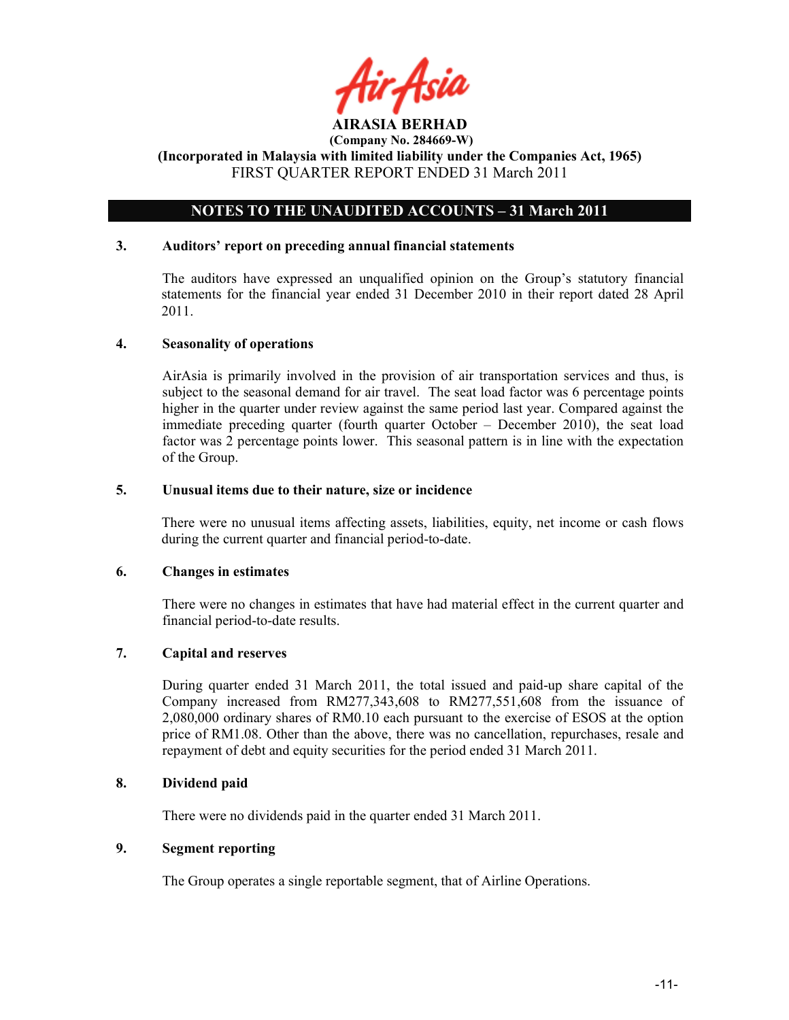

## NOTES TO THE UNAUDITED ACCOUNTS - 31 March 2011

#### 3. Auditors' report on preceding annual financial statements

The auditors have expressed an unqualified opinion on the Group's statutory financial statements for the financial year ended 31 December 2010 in their report dated 28 April 2011.

#### 4. Seasonality of operations

AirAsia is primarily involved in the provision of air transportation services and thus, is subject to the seasonal demand for air travel. The seat load factor was 6 percentage points higher in the quarter under review against the same period last year. Compared against the immediate preceding quarter (fourth quarter October – December 2010), the seat load factor was 2 percentage points lower. This seasonal pattern is in line with the expectation of the Group.

#### 5. Unusual items due to their nature, size or incidence

There were no unusual items affecting assets, liabilities, equity, net income or cash flows during the current quarter and financial period-to-date.

#### 6. Changes in estimates

There were no changes in estimates that have had material effect in the current quarter and financial period-to-date results.

## 7. Capital and reserves

During quarter ended 31 March 2011, the total issued and paid-up share capital of the Company increased from RM277,343,608 to RM277,551,608 from the issuance of 2,080,000 ordinary shares of RM0.10 each pursuant to the exercise of ESOS at the option price of RM1.08. Other than the above, there was no cancellation, repurchases, resale and repayment of debt and equity securities for the period ended 31 March 2011.

#### 8. Dividend paid

There were no dividends paid in the quarter ended 31 March 2011.

#### 9. Segment reporting

The Group operates a single reportable segment, that of Airline Operations.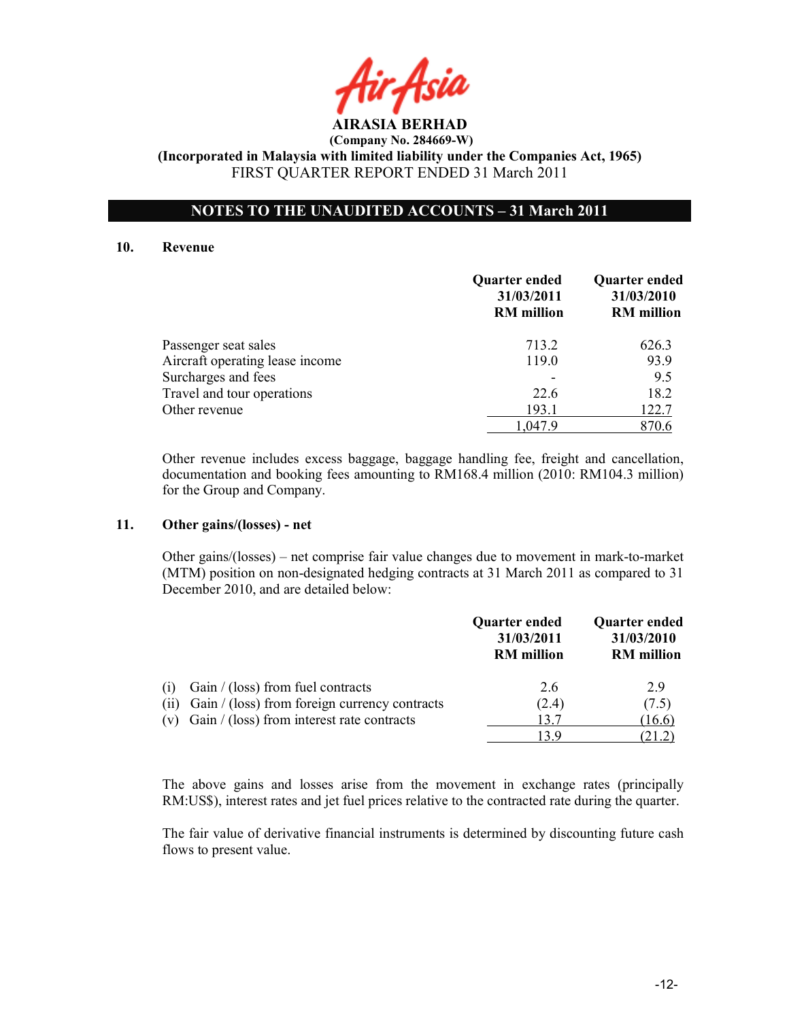## NOTES TO THE UNAUDITED ACCOUNTS – 31 March 2011

#### 10. Revenue

|                                 | <b>Quarter ended</b><br>31/03/2011<br><b>RM</b> million | <b>Quarter ended</b><br>31/03/2010<br><b>RM</b> million |
|---------------------------------|---------------------------------------------------------|---------------------------------------------------------|
| Passenger seat sales            | 713.2                                                   | 626.3                                                   |
| Aircraft operating lease income | 119.0                                                   | 93.9                                                    |
| Surcharges and fees             |                                                         | 9.5                                                     |
| Travel and tour operations      | 22.6                                                    | 18.2                                                    |
| Other revenue                   | 193.1                                                   | 122.7                                                   |
|                                 | 1.047.9                                                 | 870.6                                                   |

Other revenue includes excess baggage, baggage handling fee, freight and cancellation, documentation and booking fees amounting to RM168.4 million (2010: RM104.3 million) for the Group and Company.

#### 11. Other gains/(losses) - net

 Other gains/(losses) – net comprise fair value changes due to movement in mark-to-market (MTM) position on non-designated hedging contracts at 31 March 2011 as compared to 31 December 2010, and are detailed below:

|      |                                                  | Quarter ended<br>31/03/2011<br><b>RM</b> million | <b>Quarter ended</b><br>31/03/2010<br><b>RM</b> million |
|------|--------------------------------------------------|--------------------------------------------------|---------------------------------------------------------|
| (1)  | Gain $/$ (loss) from fuel contracts              | 2.6                                              | 29                                                      |
| (11) | Gain / (loss) from foreign currency contracts    | (2.4)                                            | (7.5)                                                   |
|      | (v) Gain $/$ (loss) from interest rate contracts | 13.7                                             | (16.6)                                                  |
|      |                                                  | 13 Q                                             |                                                         |

The above gains and losses arise from the movement in exchange rates (principally RM:US\$), interest rates and jet fuel prices relative to the contracted rate during the quarter.

The fair value of derivative financial instruments is determined by discounting future cash flows to present value.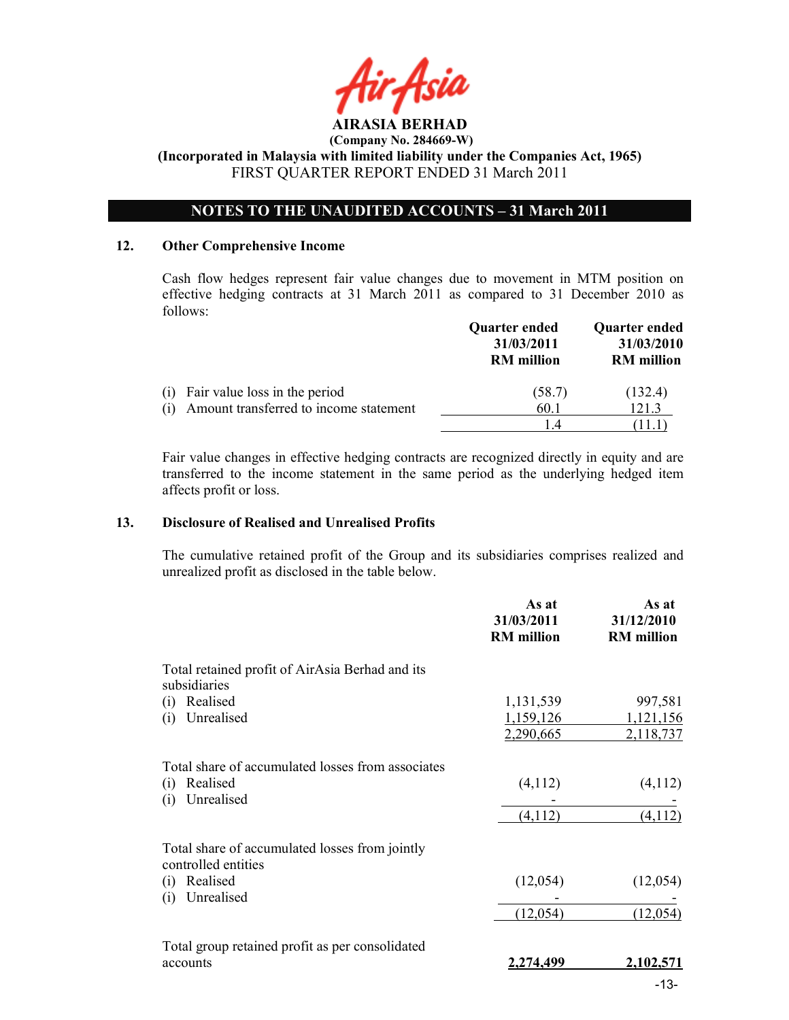

## NOTES TO THE UNAUDITED ACCOUNTS - 31 March 2011

#### 12. Other Comprehensive Income

Cash flow hedges represent fair value changes due to movement in MTM position on effective hedging contracts at 31 March 2011 as compared to 31 December 2010 as follows:

|                                               | <b>Quarter ended</b><br>31/03/2011<br><b>RM</b> million | Quarter ended<br>31/03/2010<br><b>RM</b> million |
|-----------------------------------------------|---------------------------------------------------------|--------------------------------------------------|
| Fair value loss in the period<br>(1)          | (58.7)                                                  | (132.4)                                          |
| Amount transferred to income statement<br>(i) | 60.1                                                    | 121.3                                            |
|                                               | 14                                                      | ' 11.1                                           |

Fair value changes in effective hedging contracts are recognized directly in equity and are transferred to the income statement in the same period as the underlying hedged item affects profit or loss.

#### 13. Disclosure of Realised and Unrealised Profits

The cumulative retained profit of the Group and its subsidiaries comprises realized and unrealized profit as disclosed in the table below.

|                                                                       | As at<br>31/03/2011<br><b>RM</b> million | As at<br>31/12/2010<br><b>RM</b> million |
|-----------------------------------------------------------------------|------------------------------------------|------------------------------------------|
| Total retained profit of AirAsia Berhad and its<br>subsidiaries       |                                          |                                          |
| Realised<br>(i)                                                       | 1,131,539                                | 997,581                                  |
| Unrealised<br>(i)                                                     | 1,159,126                                | 1,121,156                                |
|                                                                       | 2,290,665                                | 2,118,737                                |
| Total share of accumulated losses from associates                     |                                          |                                          |
| Realised<br>(i)                                                       | (4,112)                                  | (4,112)                                  |
| Unrealised<br>(i)                                                     |                                          |                                          |
|                                                                       | (4,112)                                  | (4, 112)                                 |
| Total share of accumulated losses from jointly<br>controlled entities |                                          |                                          |
| Realised<br>(i)                                                       | (12,054)                                 | (12,054)                                 |
| Unrealised<br>(i)                                                     |                                          |                                          |
|                                                                       | (12,054)                                 | (12,054)                                 |
| Total group retained profit as per consolidated                       |                                          |                                          |
| accounts                                                              | 2,274,499                                | 2,102,571                                |
|                                                                       |                                          | $-13-$                                   |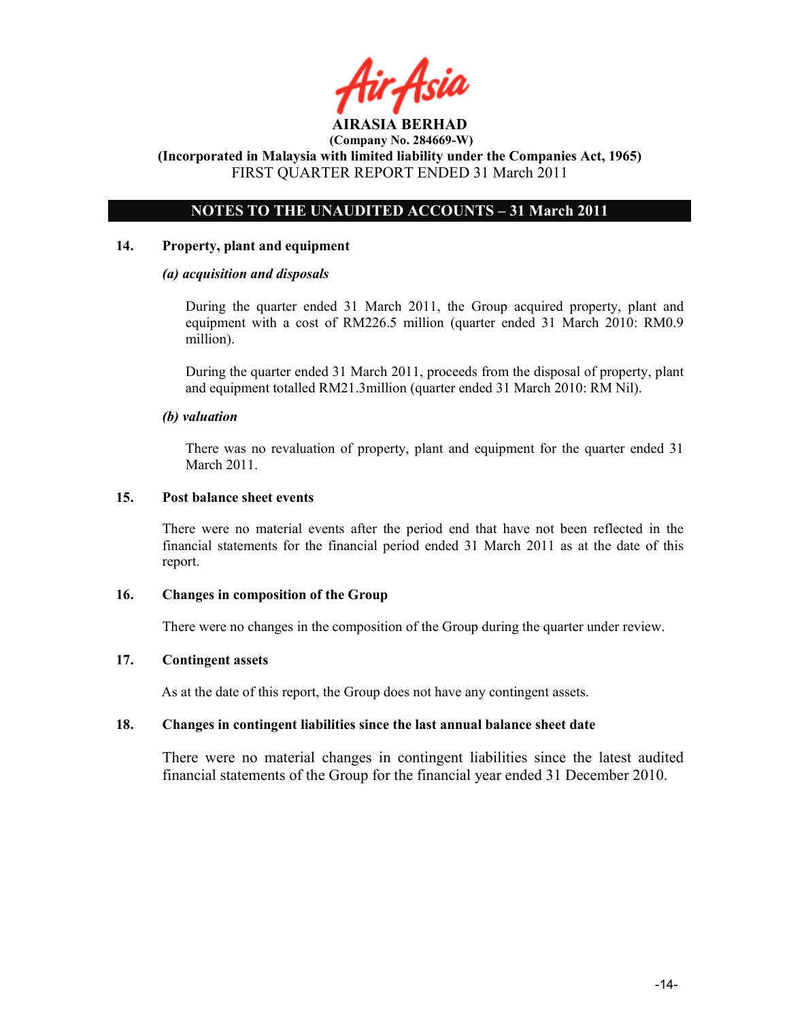

## NOTES TO THE UNAUDITED ACCOUNTS - 31 March 2011

#### 14. Property, plant and equipment

#### (a) acquisition and disposals

During the quarter ended 31 March 2011, the Group acquired property, plant and equipment with a cost of RM226.5 million (quarter ended 31 March 2010: RM0.9 million).

During the quarter ended 31 March 2011, proceeds from the disposal of property, plant and equipment totalled RM21.3million (quarter ended 31 March 2010: RM Nil).

#### (b) valuation

 There was no revaluation of property, plant and equipment for the quarter ended 31 March 2011.

#### 15. Post balance sheet events

There were no material events after the period end that have not been reflected in the financial statements for the financial period ended 31 March 2011 as at the date of this report.

#### 16. Changes in composition of the Group

There were no changes in the composition of the Group during the quarter under review.

## 17. Contingent assets

As at the date of this report, the Group does not have any contingent assets.

#### 18. Changes in contingent liabilities since the last annual balance sheet date

There were no material changes in contingent liabilities since the latest audited financial statements of the Group for the financial year ended 31 December 2010.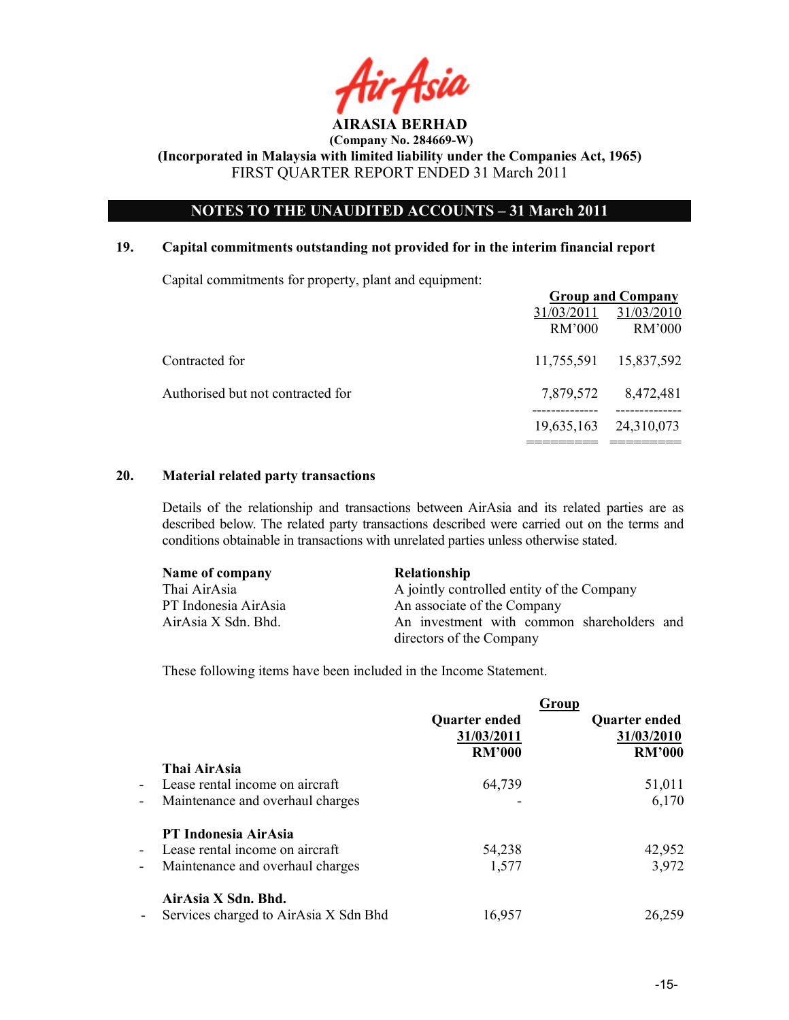

## OTES TO THE UAUDITED ACCOUTS – 31 March 2011

#### 19. Capital commitments outstanding not provided for in the interim financial report

Capital commitments for property, plant and equipment:

|                                   |                      | <b>Group and Company</b> |
|-----------------------------------|----------------------|--------------------------|
|                                   | 31/03/2011<br>RM'000 | 31/03/2010<br>RM'000     |
| Contracted for                    | 11,755,591           | 15,837,592               |
| Authorised but not contracted for | 7,879,572            | 8,472,481                |
|                                   | 19,635,163           | 24,310,073               |
|                                   |                      |                          |

## 20. Material related party transactions

Details of the relationship and transactions between AirAsia and its related parties are as described below. The related party transactions described were carried out on the terms and conditions obtainable in transactions with unrelated parties unless otherwise stated.

| Name of company      | <b>Relationship</b>                        |  |
|----------------------|--------------------------------------------|--|
| Thai AirAsia         | A jointly controlled entity of the Company |  |
| PT Indonesia AirAsia | An associate of the Company                |  |
| AirAsia X Sdn. Bhd.  | An investment with common shareholders and |  |
|                      | directors of the Company                   |  |

These following items have been included in the Income Statement.

|                          |                                       |               | Group                |
|--------------------------|---------------------------------------|---------------|----------------------|
|                          |                                       | Quarter ended | <b>Quarter ended</b> |
|                          |                                       | 31/03/2011    | 31/03/2010           |
|                          |                                       | <b>RM'000</b> | <b>RM'000</b>        |
|                          | Thai AirAsia                          |               |                      |
|                          | - Lease rental income on aircraft     | 64,739        | 51,011               |
| -                        | Maintenance and overhaul charges      | ۰             | 6,170                |
|                          | PT Indonesia AirAsia                  |               |                      |
| $\blacksquare$           | Lease rental income on aircraft       | 54,238        | 42,952               |
| $\overline{\phantom{a}}$ | Maintenance and overhaul charges      | 1,577         | 3,972                |
|                          | AirAsia X Sdn. Bhd.                   |               |                      |
|                          | Services charged to AirAsia X Sdn Bhd | 16,957        | 26,259               |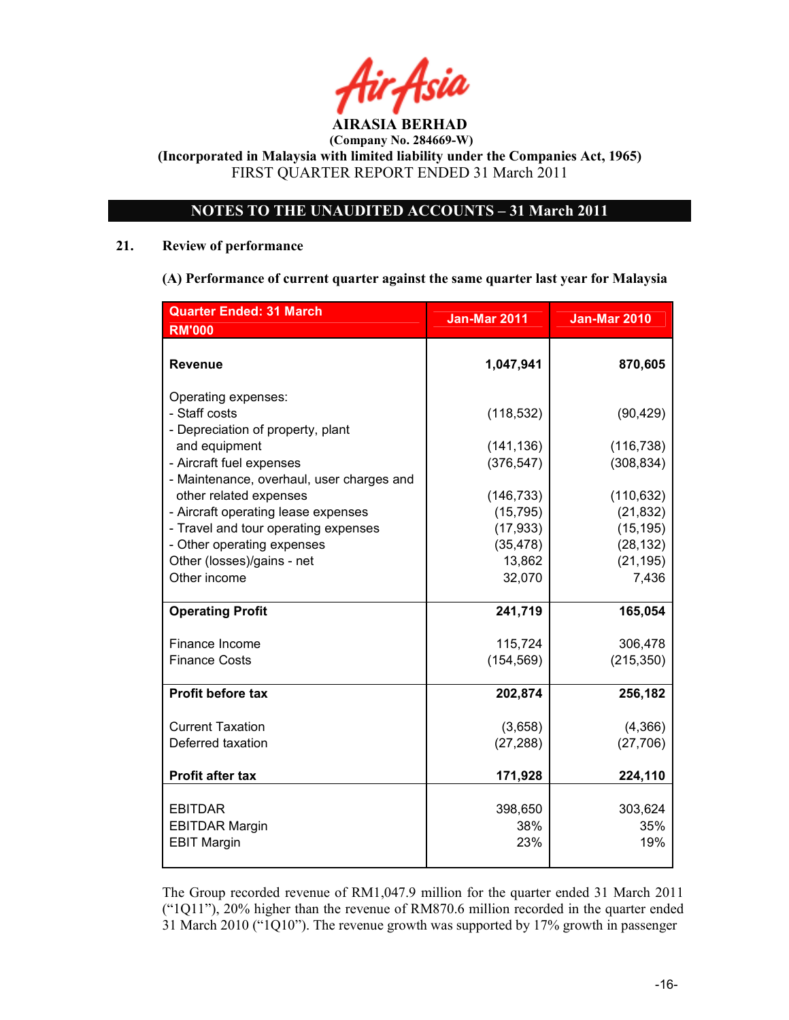# OTES TO THE UAUDITED ACCOUTS – 31 March 2011

## 21. Review of performance

(A) Performance of current quarter against the same quarter last year for Malaysia

| <b>Quarter Ended: 31 March</b>            | <b>Jan-Mar 2011</b> | <b>Jan-Mar 2010</b> |
|-------------------------------------------|---------------------|---------------------|
| <b>RM'000</b>                             |                     |                     |
| <b>Revenue</b>                            | 1,047,941           | 870,605             |
| Operating expenses:                       |                     |                     |
| - Staff costs                             | (118, 532)          | (90, 429)           |
| - Depreciation of property, plant         |                     |                     |
| and equipment                             | (141, 136)          | (116, 738)          |
| - Aircraft fuel expenses                  | (376, 547)          | (308, 834)          |
| - Maintenance, overhaul, user charges and |                     |                     |
| other related expenses                    | (146, 733)          | (110, 632)          |
| - Aircraft operating lease expenses       | (15, 795)           | (21, 832)           |
| - Travel and tour operating expenses      | (17, 933)           | (15, 195)           |
| - Other operating expenses                | (35, 478)           | (28, 132)           |
| Other (losses)/gains - net                | 13,862              | (21, 195)           |
| Other income                              | 32,070              | 7,436               |
| <b>Operating Profit</b>                   | 241,719             | 165,054             |
| Finance Income                            | 115,724             | 306,478             |
| <b>Finance Costs</b>                      | (154, 569)          | (215, 350)          |
|                                           |                     |                     |
| <b>Profit before tax</b>                  | 202,874             | 256,182             |
| <b>Current Taxation</b>                   | (3,658)             | (4,366)             |
| Deferred taxation                         | (27, 288)           | (27, 706)           |
|                                           |                     |                     |
| Profit after tax                          | 171,928             | 224,110             |
|                                           |                     |                     |
| <b>EBITDAR</b>                            | 398,650             | 303,624             |
| <b>EBITDAR Margin</b>                     | 38%<br>23%          | 35%<br>19%          |
| <b>EBIT Margin</b>                        |                     |                     |
|                                           |                     |                     |

The Group recorded revenue of RM1,047.9 million for the quarter ended 31 March 2011 ("1Q11"), 20% higher than the revenue of RM870.6 million recorded in the quarter ended 31 March 2010 ("1Q10"). The revenue growth was supported by 17% growth in passenger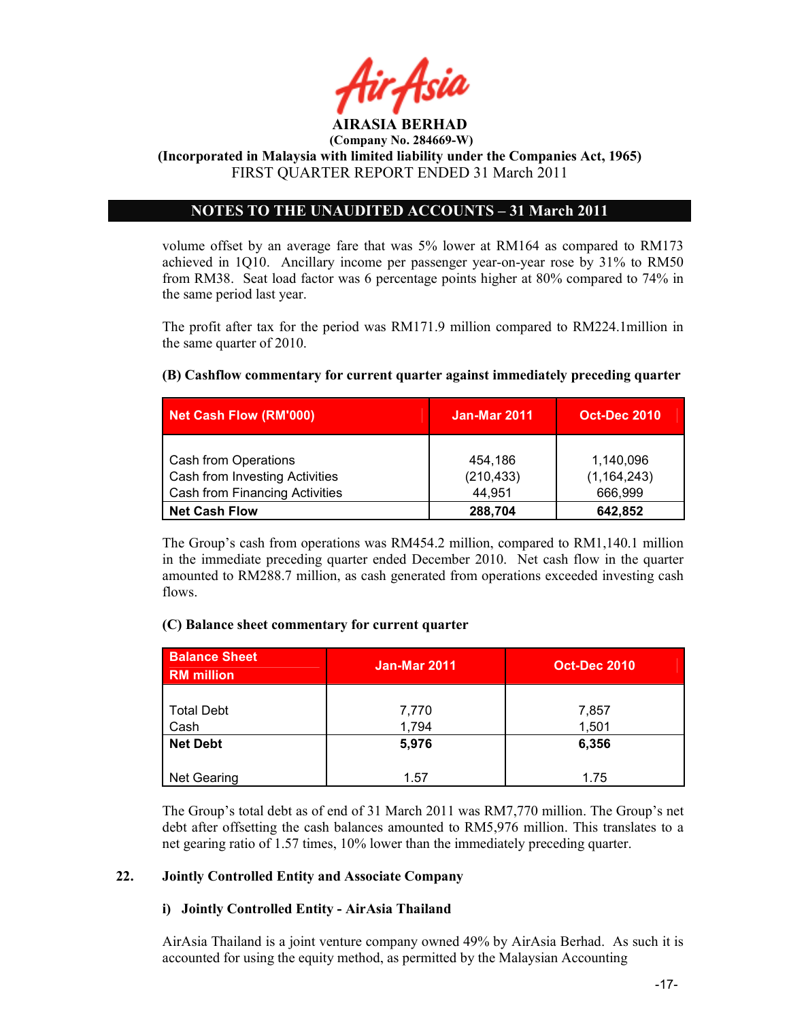

(Incorporated in Malaysia with limited liability under the Companies Act, 1965) FIRST QUARTER REPORT ENDED 31 March 2011

## NOTES TO THE UNAUDITED ACCOUNTS - 31 March 2011

volume offset by an average fare that was 5% lower at RM164 as compared to RM173 achieved in 1Q10. Ancillary income per passenger year-on-year rose by 31% to RM50 from RM38. Seat load factor was 6 percentage points higher at 80% compared to 74% in the same period last year.

The profit after tax for the period was RM171.9 million compared to RM224.1million in the same quarter of 2010.

## (B) Cashflow commentary for current quarter against immediately preceding quarter

| <b>Net Cash Flow (RM'000)</b>                                                                   | <b>Jan-Mar 2011</b>             | <b>Oct-Dec 2010</b>                   |
|-------------------------------------------------------------------------------------------------|---------------------------------|---------------------------------------|
| Cash from Operations<br>Cash from Investing Activities<br><b>Cash from Financing Activities</b> | 454,186<br>(210, 433)<br>44.951 | 1,140,096<br>(1, 164, 243)<br>666,999 |
| <b>Net Cash Flow</b>                                                                            | 288,704                         | 642,852                               |

The Group's cash from operations was RM454.2 million, compared to RM1,140.1 million in the immediate preceding quarter ended December 2010. Net cash flow in the quarter amounted to RM288.7 million, as cash generated from operations exceeded investing cash flows.

#### (C) Balance sheet commentary for current quarter

| <b>Balance Sheet</b><br><b>RM</b> million | <b>Jan-Mar 2011</b> | <b>Oct-Dec 2010</b> |
|-------------------------------------------|---------------------|---------------------|
| <b>Total Debt</b><br>Cash                 | 7,770<br>1,794      | 7,857<br>1,501      |
| <b>Net Debt</b>                           | 5,976               | 6,356               |
| <b>Net Gearing</b>                        | 1.57                | 1.75                |

The Group's total debt as of end of 31 March 2011 was RM7,770 million. The Group's net debt after offsetting the cash balances amounted to RM5,976 million. This translates to a net gearing ratio of 1.57 times, 10% lower than the immediately preceding quarter.

## 22. Jointly Controlled Entity and Associate Company

#### i) Jointly Controlled Entity - AirAsia Thailand

AirAsia Thailand is a joint venture company owned 49% by AirAsia Berhad. As such it is accounted for using the equity method, as permitted by the Malaysian Accounting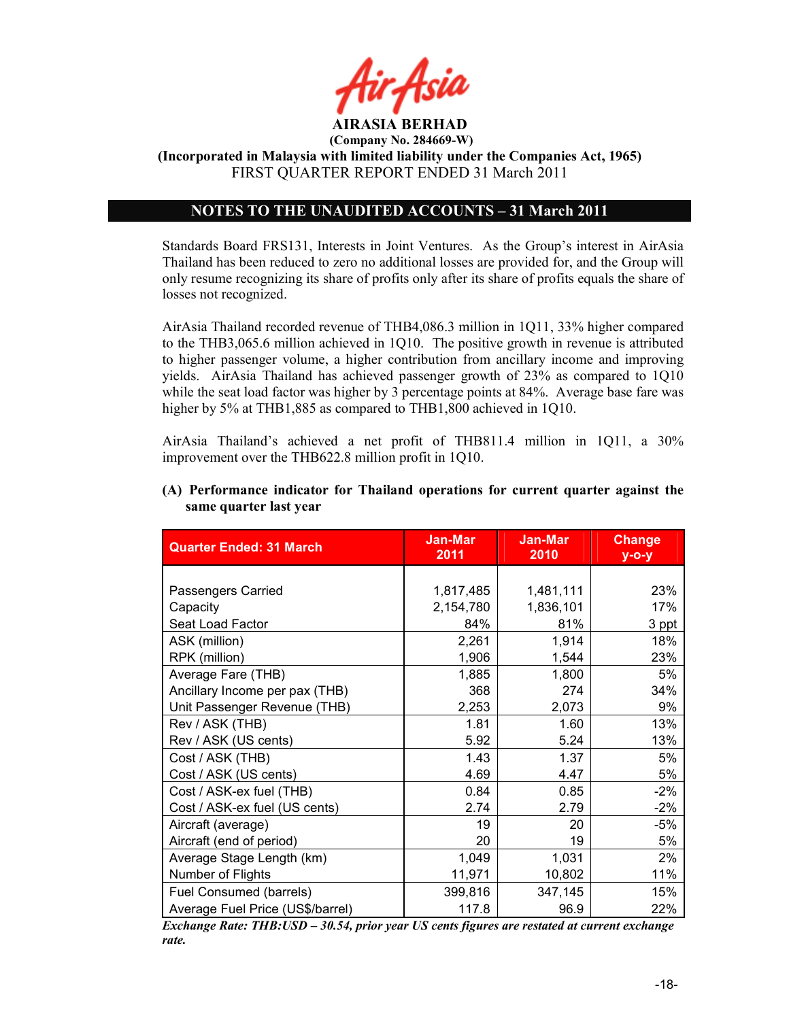

(Incorporated in Malaysia with limited liability under the Companies Act, 1965) FIRST QUARTER REPORT ENDED 31 March 2011

## OTES TO THE UAUDITED ACCOUTS – 31 March 2011

Standards Board FRS131, Interests in Joint Ventures. As the Group's interest in AirAsia Thailand has been reduced to zero no additional losses are provided for, and the Group will only resume recognizing its share of profits only after its share of profits equals the share of losses not recognized.

AirAsia Thailand recorded revenue of THB4,086.3 million in 1Q11, 33% higher compared to the THB3,065.6 million achieved in 1Q10. The positive growth in revenue is attributed to higher passenger volume, a higher contribution from ancillary income and improving yields. AirAsia Thailand has achieved passenger growth of 23% as compared to 1Q10 while the seat load factor was higher by 3 percentage points at 84%. Average base fare was higher by 5% at THB1,885 as compared to THB1,800 achieved in 1Q10.

AirAsia Thailand's achieved a net profit of THB811.4 million in 1Q11, a 30% improvement over the THB622.8 million profit in 1Q10.

| <b>Quarter Ended: 31 March</b>   | Jan-Mar<br>2011 | <b>Jan-Mar</b><br>2010 | <b>Change</b><br>$y$ -o-y |
|----------------------------------|-----------------|------------------------|---------------------------|
|                                  |                 |                        |                           |
| Passengers Carried               | 1,817,485       | 1,481,111              | 23%                       |
| Capacity                         | 2,154,780       | 1,836,101              | 17%                       |
| Seat Load Factor                 | 84%             | 81%                    | 3 ppt                     |
| ASK (million)                    | 2,261           | 1,914                  | 18%                       |
| RPK (million)                    | 1,906           | 1,544                  | 23%                       |
| Average Fare (THB)               | 1,885           | 1,800                  | 5%                        |
| Ancillary Income per pax (THB)   | 368             | 274                    | 34%                       |
| Unit Passenger Revenue (THB)     | 2,253           | 2,073                  | 9%                        |
| Rev / ASK (THB)                  | 1.81            | 1.60                   | 13%                       |
| Rev / ASK (US cents)             | 5.92            | 5.24                   | 13%                       |
| Cost / ASK (THB)                 | 1.43            | 1.37                   | 5%                        |
| Cost / ASK (US cents)            | 4.69            | 4.47                   | 5%                        |
| Cost / ASK-ex fuel (THB)         | 0.84            | 0.85                   | $-2\%$                    |
| Cost / ASK-ex fuel (US cents)    | 2.74            | 2.79                   | $-2%$                     |
| Aircraft (average)               | 19              | 20                     | $-5%$                     |
| Aircraft (end of period)         | 20              | 19                     | 5%                        |
| Average Stage Length (km)        | 1,049           | 1,031                  | 2%                        |
| Number of Flights                | 11,971          | 10,802                 | 11%                       |
| Fuel Consumed (barrels)          | 399,816         | 347,145                | 15%                       |
| Average Fuel Price (US\$/barrel) | 117.8           | 96.9                   | 22%                       |

## (A) Performance indicator for Thailand operations for current quarter against the same quarter last year

Exchange Rate: THB:USD – 30.54, prior year US cents figures are restated at current exchange rate.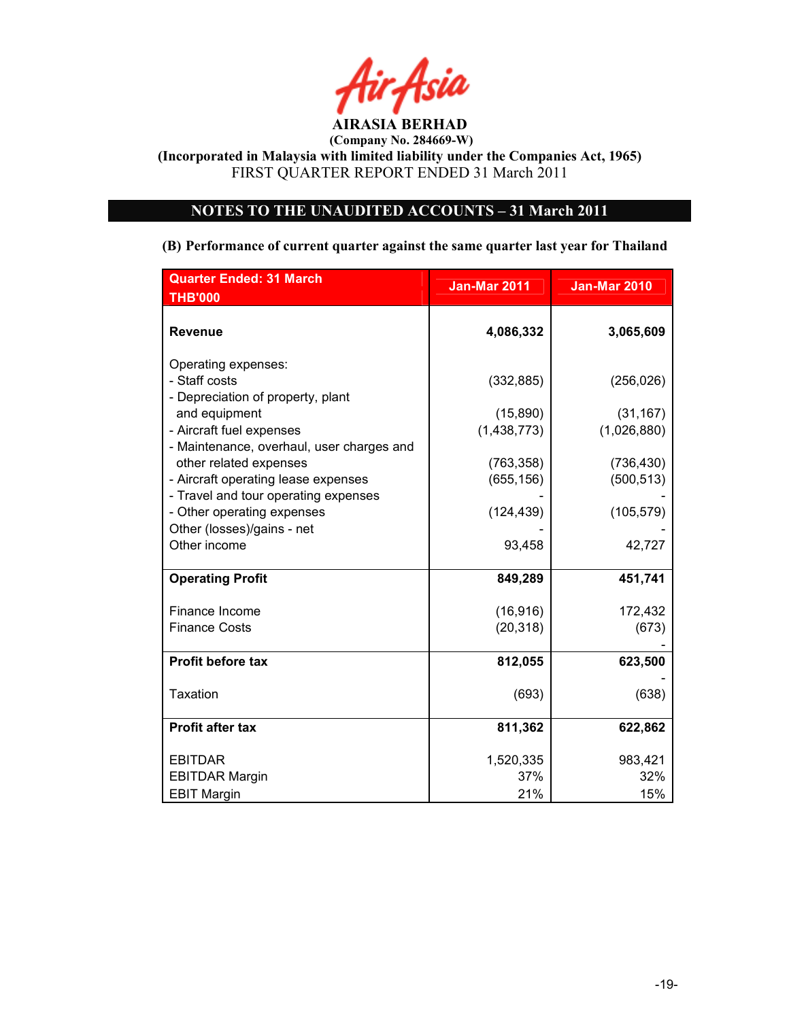

(Company No. 284669-W)

(Incorporated in Malaysia with limited liability under the Companies Act, 1965) FIRST QUARTER REPORT ENDED 31 March 2011

# NOTES TO THE UNAUDITED ACCOUNTS - 31 March 2011

#### (B) Performance of current quarter against the same quarter last year for Thailand

| <b>Quarter Ended: 31 March</b><br><b>THB'000</b>                                                 | <b>Jan-Mar 2011</b>      | <b>Jan-Mar 2010</b>      |
|--------------------------------------------------------------------------------------------------|--------------------------|--------------------------|
| <b>Revenue</b>                                                                                   | 4,086,332                | 3,065,609                |
| Operating expenses:<br>- Staff costs<br>- Depreciation of property, plant                        | (332, 885)               | (256, 026)               |
| and equipment<br>- Aircraft fuel expenses<br>- Maintenance, overhaul, user charges and           | (15, 890)<br>(1,438,773) | (31, 167)<br>(1,026,880) |
| other related expenses<br>- Aircraft operating lease expenses                                    | (763, 358)<br>(655, 156) | (736, 430)<br>(500, 513) |
| - Travel and tour operating expenses<br>- Other operating expenses<br>Other (losses)/gains - net | (124, 439)               | (105, 579)               |
| Other income                                                                                     | 93,458                   | 42,727                   |
| <b>Operating Profit</b>                                                                          | 849,289                  | 451,741                  |
| Finance Income                                                                                   | (16, 916)                | 172,432                  |
| <b>Finance Costs</b>                                                                             | (20, 318)                | (673)                    |
| Profit before tax                                                                                | 812,055                  | 623,500                  |
| Taxation                                                                                         | (693)                    | (638)                    |
| <b>Profit after tax</b>                                                                          | 811,362                  | 622,862                  |
| <b>EBITDAR</b>                                                                                   | 1,520,335                | 983,421                  |
| <b>EBITDAR Margin</b>                                                                            | 37%                      | 32%                      |
| <b>EBIT Margin</b>                                                                               | 21%                      | 15%                      |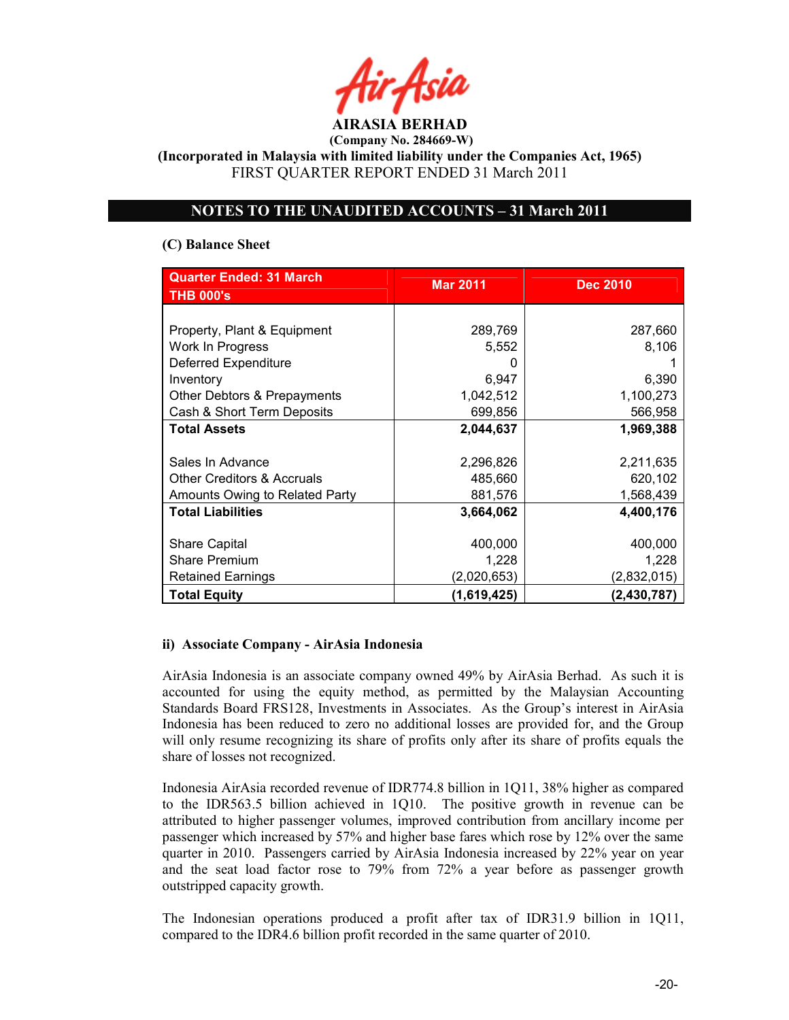(Incorporated in Malaysia with limited liability under the Companies Act, 1965) FIRST QUARTER REPORT ENDED 31 March 2011

## OTES TO THE UAUDITED ACCOUTS – 31 March 2011

## (C) Balance Sheet

| <b>Quarter Ended: 31 March</b>        | <b>Mar 2011</b> | <b>Dec 2010</b> |  |
|---------------------------------------|-----------------|-----------------|--|
| <b>THB 000's</b>                      |                 |                 |  |
|                                       |                 |                 |  |
| Property, Plant & Equipment           | 289,769         | 287,660         |  |
| Work In Progress                      | 5,552           | 8,106           |  |
| Deferred Expenditure                  |                 |                 |  |
| Inventory                             | 6,947           | 6,390           |  |
| Other Debtors & Prepayments           | 1,042,512       | 1,100,273       |  |
| Cash & Short Term Deposits            | 699,856         | 566,958         |  |
| <b>Total Assets</b>                   | 2,044,637       | 1,969,388       |  |
|                                       |                 |                 |  |
| Sales In Advance                      | 2,296,826       | 2,211,635       |  |
| <b>Other Creditors &amp; Accruals</b> | 485,660         | 620,102         |  |
| Amounts Owing to Related Party        | 881,576         | 1,568,439       |  |
| <b>Total Liabilities</b>              | 3,664,062       | 4,400,176       |  |
|                                       |                 |                 |  |
| <b>Share Capital</b>                  | 400,000         | 400,000         |  |
| <b>Share Premium</b>                  | 1,228           | 1,228           |  |
| <b>Retained Earnings</b>              | (2,020,653)     | (2,832,015)     |  |
| <b>Total Equity</b>                   | (1,619,425)     | (2, 430, 787)   |  |

## ii) Associate Company - AirAsia Indonesia

AirAsia Indonesia is an associate company owned 49% by AirAsia Berhad. As such it is accounted for using the equity method, as permitted by the Malaysian Accounting Standards Board FRS128, Investments in Associates. As the Group's interest in AirAsia Indonesia has been reduced to zero no additional losses are provided for, and the Group will only resume recognizing its share of profits only after its share of profits equals the share of losses not recognized.

Indonesia AirAsia recorded revenue of IDR774.8 billion in 1Q11, 38% higher as compared to the IDR563.5 billion achieved in 1Q10. The positive growth in revenue can be attributed to higher passenger volumes, improved contribution from ancillary income per passenger which increased by 57% and higher base fares which rose by 12% over the same quarter in 2010. Passengers carried by AirAsia Indonesia increased by 22% year on year and the seat load factor rose to 79% from 72% a year before as passenger growth outstripped capacity growth.

The Indonesian operations produced a profit after tax of IDR31.9 billion in 1Q11, compared to the IDR4.6 billion profit recorded in the same quarter of 2010.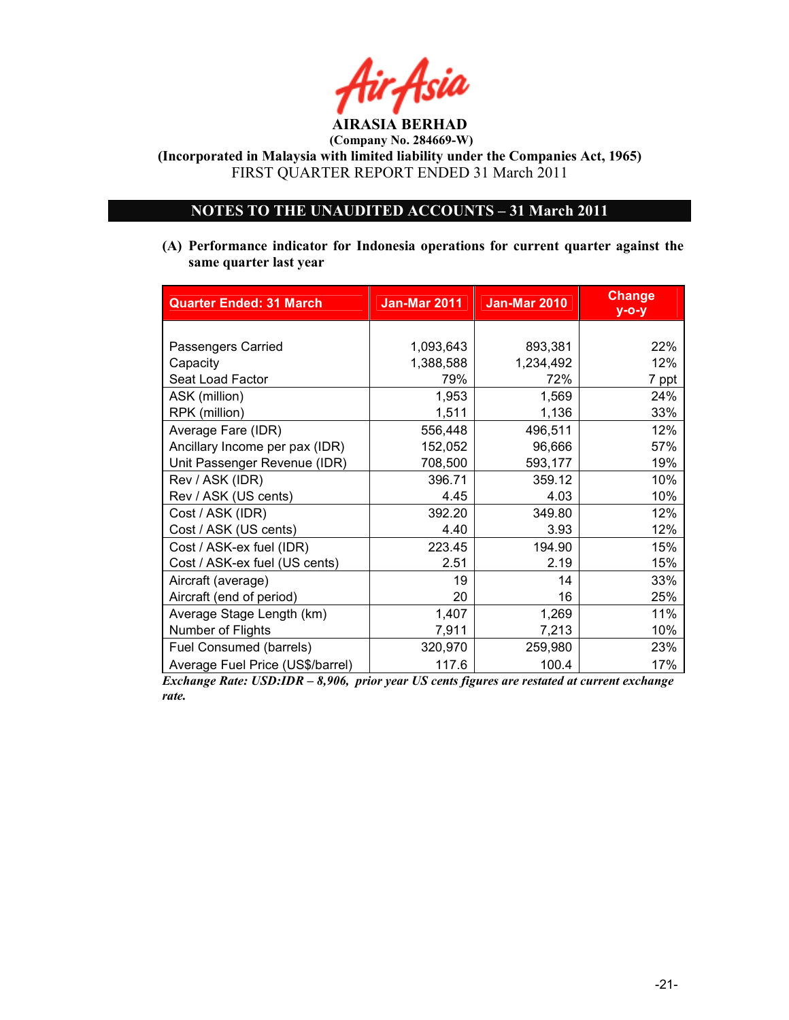

(Company No. 284669-W)

(Incorporated in Malaysia with limited liability under the Companies Act, 1965) FIRST QUARTER REPORT ENDED 31 March 2011

## OTES TO THE UAUDITED ACCOUTS – 31 March 2011

(A) Performance indicator for Indonesia operations for current quarter against the same quarter last year

| <b>Quarter Ended: 31 March</b>   | <b>Jan-Mar 2011</b> | <b>Jan-Mar 2010</b> | <b>Change</b><br>$y$ -o-y |
|----------------------------------|---------------------|---------------------|---------------------------|
|                                  |                     |                     |                           |
| Passengers Carried               | 1,093,643           | 893,381             | 22%                       |
| Capacity                         | 1,388,588           | 1,234,492           | 12%                       |
| Seat Load Factor                 | 79%                 | 72%                 | 7 ppt                     |
| ASK (million)                    | 1,953               | 1,569               | 24%                       |
| RPK (million)                    | 1,511               | 1,136               | 33%                       |
| Average Fare (IDR)               | 556,448             | 496,511             | 12%                       |
| Ancillary Income per pax (IDR)   | 152,052             | 96,666              | 57%                       |
| Unit Passenger Revenue (IDR)     | 708,500             | 593,177             | 19%                       |
| Rev / ASK (IDR)                  | 396.71              | 359.12              | 10%                       |
| Rev / ASK (US cents)             | 4.45                | 4.03                | 10%                       |
| Cost / ASK (IDR)                 | 392.20              | 349.80              | 12%                       |
| Cost / ASK (US cents)            | 4.40                | 3.93                | 12%                       |
| Cost / ASK-ex fuel (IDR)         | 223.45              | 194.90              | 15%                       |
| Cost / ASK-ex fuel (US cents)    | 2.51                | 2.19                | 15%                       |
| Aircraft (average)               | 19                  | 14                  | 33%                       |
| Aircraft (end of period)         | 20                  | 16                  | 25%                       |
| Average Stage Length (km)        | 1,407               | 1,269               | 11%                       |
| Number of Flights                | 7,911               | 7,213               | 10%                       |
| Fuel Consumed (barrels)          | 320,970             | 259,980             | 23%                       |
| Average Fuel Price (US\$/barrel) | 117.6               | 100.4               | 17%                       |

Exchange Rate: USD:IDR – 8,906, prior year US cents figures are restated at current exchange rate.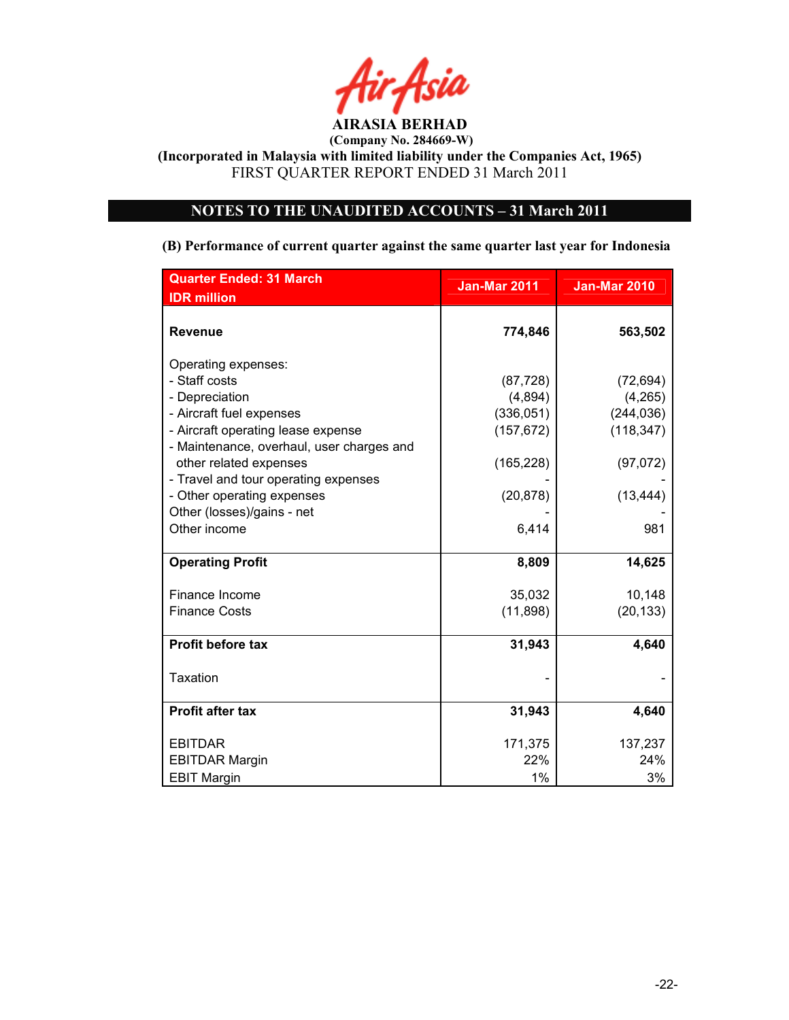

(Company No. 284669-W)

(Incorporated in Malaysia with limited liability under the Companies Act, 1965) FIRST QUARTER REPORT ENDED 31 March 2011

# NOTES TO THE UNAUDITED ACCOUNTS - 31 March 2011

#### (B) Performance of current quarter against the same quarter last year for Indonesia

| <b>Quarter Ended: 31 March</b>            | <b>Jan-Mar 2011</b> | <b>Jan-Mar 2010</b> |  |
|-------------------------------------------|---------------------|---------------------|--|
| <b>IDR</b> million                        |                     |                     |  |
| <b>Revenue</b>                            | 774,846             | 563,502             |  |
| Operating expenses:                       |                     |                     |  |
| - Staff costs                             | (87, 728)           | (72, 694)           |  |
| - Depreciation                            | (4,894)             | (4,265)             |  |
| - Aircraft fuel expenses                  | (336, 051)          | (244, 036)          |  |
| - Aircraft operating lease expense        | (157, 672)          | (118, 347)          |  |
| - Maintenance, overhaul, user charges and |                     |                     |  |
| other related expenses                    | (165, 228)          | (97,072)            |  |
| - Travel and tour operating expenses      |                     |                     |  |
| - Other operating expenses                | (20, 878)           | (13, 444)           |  |
| Other (losses)/gains - net                |                     |                     |  |
| Other income                              | 6,414               | 981                 |  |
| <b>Operating Profit</b>                   | 8,809               | 14,625              |  |
| Finance Income                            | 35,032              | 10,148              |  |
| <b>Finance Costs</b>                      | (11, 898)           | (20, 133)           |  |
|                                           |                     |                     |  |
| <b>Profit before tax</b>                  | 31,943              | 4,640               |  |
| <b>Taxation</b>                           |                     |                     |  |
| <b>Profit after tax</b>                   | 31,943              | 4,640               |  |
| <b>EBITDAR</b>                            | 171,375             | 137,237             |  |
| <b>EBITDAR Margin</b>                     | 22%                 | 24%                 |  |
| <b>EBIT Margin</b>                        | 1%                  | 3%                  |  |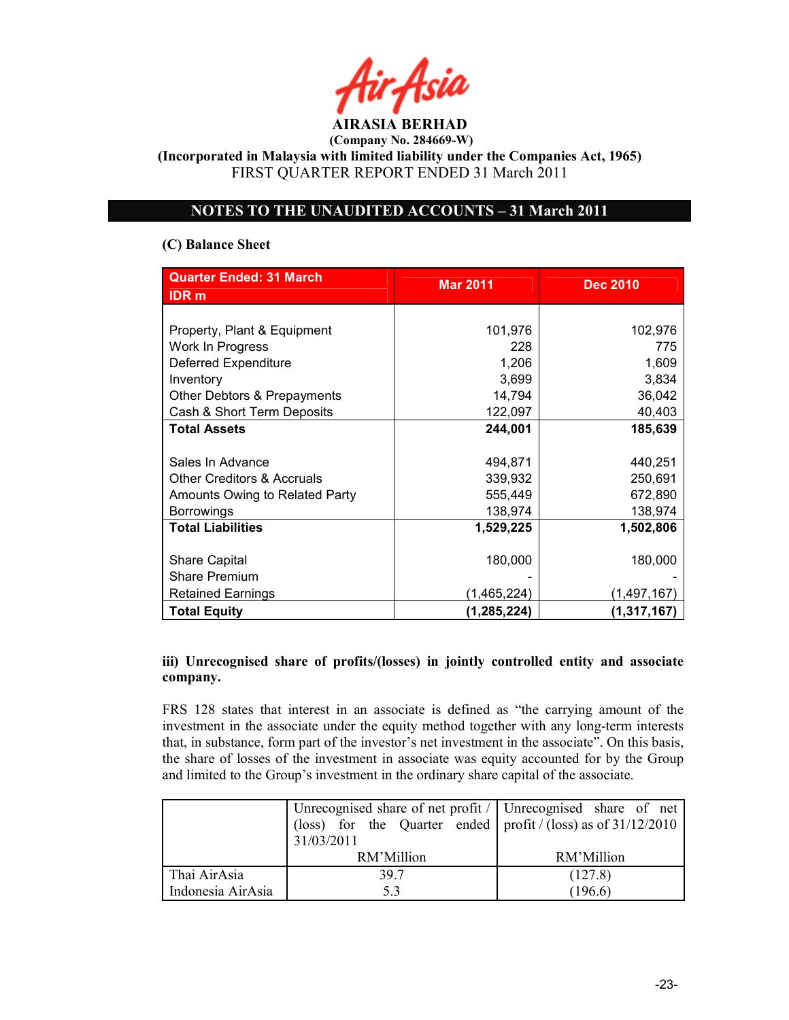(Incorporated in Malaysia with limited liability under the Companies Act, 1965) FIRST QUARTER REPORT ENDED 31 March 2011

## OTES TO THE UAUDITED ACCOUTS – 31 March 2011

## (C) Balance Sheet

| <b>Quarter Ended: 31 March</b>        | <b>Mar 2011</b> | <b>Dec 2010</b> |
|---------------------------------------|-----------------|-----------------|
| <b>IDR</b> m                          |                 |                 |
|                                       |                 |                 |
| Property, Plant & Equipment           | 101,976         | 102,976         |
| Work In Progress                      | 228             | 775             |
| Deferred Expenditure                  | 1,206           | 1,609           |
| Inventory                             | 3,699           | 3,834           |
| Other Debtors & Prepayments           | 14,794          | 36,042          |
| Cash & Short Term Deposits            | 122,097         | 40,403          |
| <b>Total Assets</b>                   | 244,001         | 185,639         |
|                                       |                 |                 |
| Sales In Advance                      | 494,871         | 440,251         |
| <b>Other Creditors &amp; Accruals</b> | 339,932         | 250,691         |
| Amounts Owing to Related Party        | 555,449         | 672,890         |
| <b>Borrowings</b>                     | 138,974         | 138,974         |
| <b>Total Liabilities</b>              | 1,529,225       | 1,502,806       |
|                                       |                 |                 |
| <b>Share Capital</b>                  | 180,000         | 180,000         |
| Share Premium                         |                 |                 |
| <b>Retained Earnings</b>              | (1,465,224)     | (1,497,167)     |
| <b>Total Equity</b>                   | (1,285,224)     | (1,317,167)     |

## iii) Unrecognised share of profits/(losses) in jointly controlled entity and associate company.

FRS 128 states that interest in an associate is defined as "the carrying amount of the investment in the associate under the equity method together with any long-term interests that, in substance, form part of the investor's net investment in the associate". On this basis, the share of losses of the investment in associate was equity accounted for by the Group and limited to the Group's investment in the ordinary share capital of the associate.

|                   | Unrecognised share of net profit $\ell$ Unrecognised share of net |            |
|-------------------|-------------------------------------------------------------------|------------|
|                   | (loss) for the Quarter ended   profit / (loss) as of $31/12/2010$ |            |
|                   | 31/03/2011                                                        |            |
|                   | RM'Million                                                        | RM'Million |
| Thai AirAsia      | 397                                                               | (127.8)    |
| Indonesia AirAsia | 5.3                                                               | (196.6)    |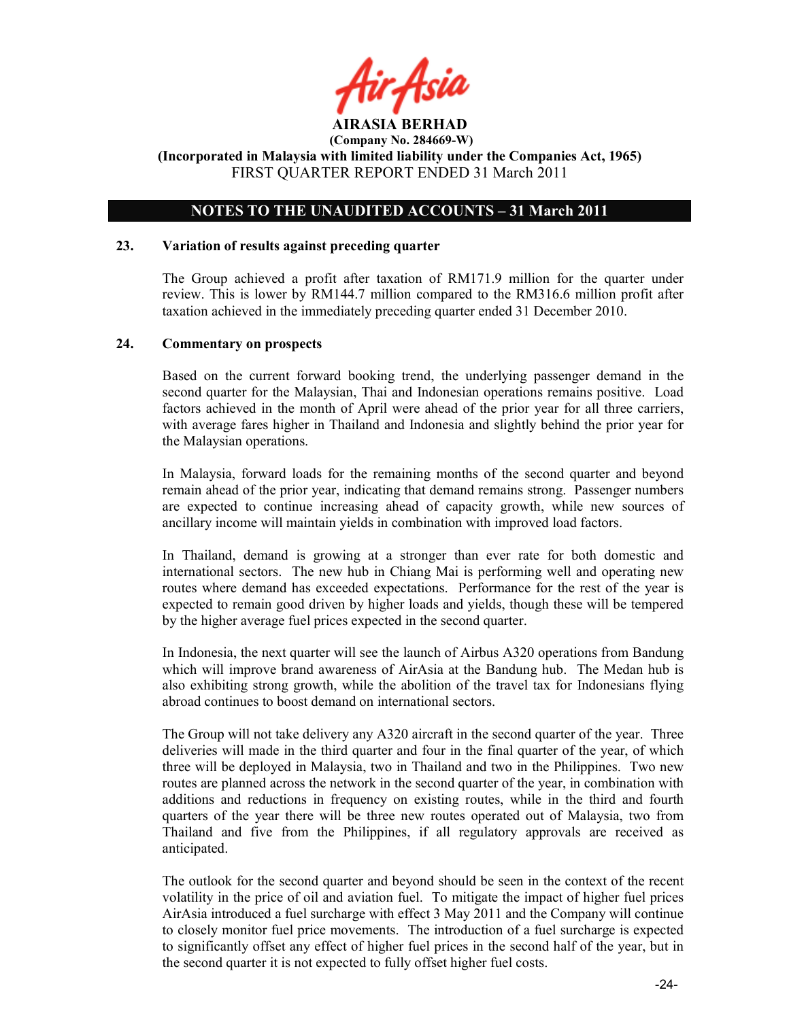

## NOTES TO THE UNAUDITED ACCOUNTS - 31 March 2011

#### 23. Variation of results against preceding quarter

The Group achieved a profit after taxation of RM171.9 million for the quarter under review. This is lower by RM144.7 million compared to the RM316.6 million profit after taxation achieved in the immediately preceding quarter ended 31 December 2010.

#### 24. Commentary on prospects

Based on the current forward booking trend, the underlying passenger demand in the second quarter for the Malaysian, Thai and Indonesian operations remains positive. Load factors achieved in the month of April were ahead of the prior year for all three carriers, with average fares higher in Thailand and Indonesia and slightly behind the prior year for the Malaysian operations.

In Malaysia, forward loads for the remaining months of the second quarter and beyond remain ahead of the prior year, indicating that demand remains strong. Passenger numbers are expected to continue increasing ahead of capacity growth, while new sources of ancillary income will maintain yields in combination with improved load factors.

In Thailand, demand is growing at a stronger than ever rate for both domestic and international sectors. The new hub in Chiang Mai is performing well and operating new routes where demand has exceeded expectations. Performance for the rest of the year is expected to remain good driven by higher loads and yields, though these will be tempered by the higher average fuel prices expected in the second quarter.

In Indonesia, the next quarter will see the launch of Airbus A320 operations from Bandung which will improve brand awareness of AirAsia at the Bandung hub. The Medan hub is also exhibiting strong growth, while the abolition of the travel tax for Indonesians flying abroad continues to boost demand on international sectors.

The Group will not take delivery any A320 aircraft in the second quarter of the year. Three deliveries will made in the third quarter and four in the final quarter of the year, of which three will be deployed in Malaysia, two in Thailand and two in the Philippines. Two new routes are planned across the network in the second quarter of the year, in combination with additions and reductions in frequency on existing routes, while in the third and fourth quarters of the year there will be three new routes operated out of Malaysia, two from Thailand and five from the Philippines, if all regulatory approvals are received as anticipated.

The outlook for the second quarter and beyond should be seen in the context of the recent volatility in the price of oil and aviation fuel. To mitigate the impact of higher fuel prices AirAsia introduced a fuel surcharge with effect 3 May 2011 and the Company will continue to closely monitor fuel price movements. The introduction of a fuel surcharge is expected to significantly offset any effect of higher fuel prices in the second half of the year, but in the second quarter it is not expected to fully offset higher fuel costs.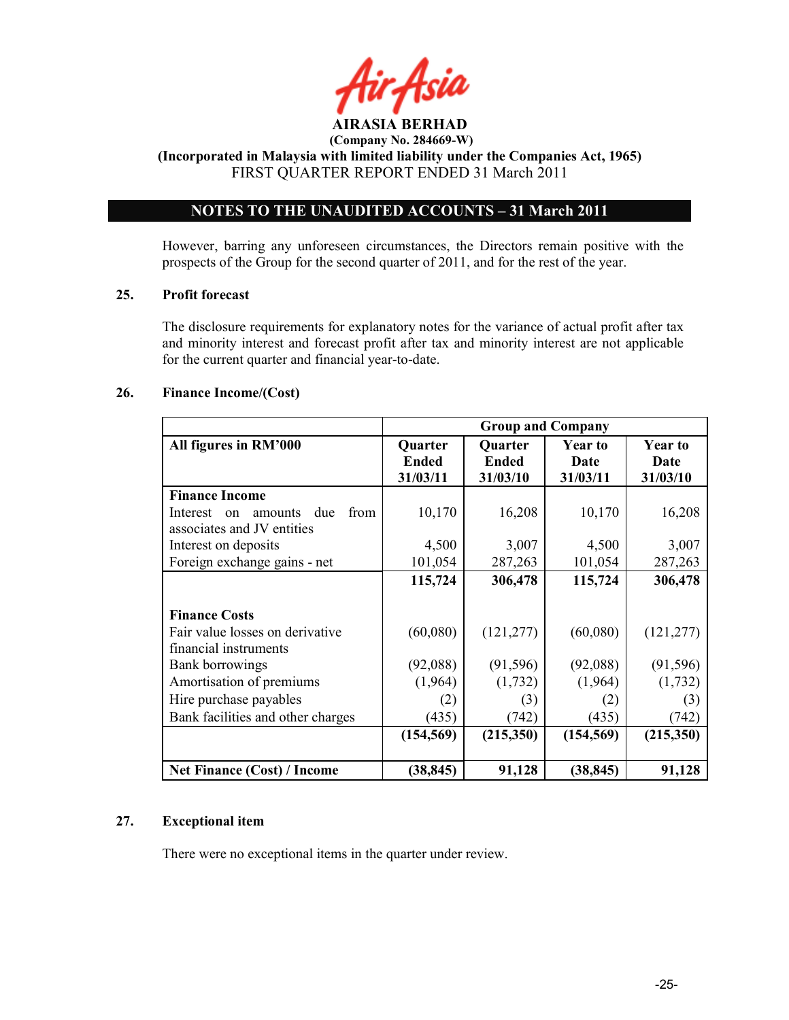

(Incorporated in Malaysia with limited liability under the Companies Act, 1965) FIRST QUARTER REPORT ENDED 31 March 2011

# OTES TO THE UAUDITED ACCOUTS – 31 March 2011

However, barring any unforeseen circumstances, the Directors remain positive with the prospects of the Group for the second quarter of 2011, and for the rest of the year.

#### 25. Profit forecast

The disclosure requirements for explanatory notes for the variance of actual profit after tax and minority interest and forecast profit after tax and minority interest are not applicable for the current quarter and financial year-to-date.

#### 26. Finance Income/(Cost)

|                                                                                | <b>Group and Company</b>     |                              |                                    |                                    |
|--------------------------------------------------------------------------------|------------------------------|------------------------------|------------------------------------|------------------------------------|
| All figures in RM'000                                                          | Quarter<br>Ended<br>31/03/11 | Quarter<br>Ended<br>31/03/10 | <b>Year to</b><br>Date<br>31/03/11 | <b>Year to</b><br>Date<br>31/03/10 |
| <b>Finance Income</b>                                                          |                              |                              |                                    |                                    |
| from<br>Interest<br>due<br>amounts<br>$\alpha$ n<br>associates and JV entities | 10,170                       | 16,208                       | 10,170                             | 16,208                             |
| Interest on deposits                                                           | 4,500                        | 3,007                        | 4,500                              | 3,007                              |
| Foreign exchange gains - net                                                   | 101,054                      | 287,263                      | 101,054                            | 287,263                            |
|                                                                                | 115,724                      | 306,478                      | 115,724                            | 306,478                            |
| <b>Finance Costs</b><br>Fair value losses on derivative                        | (60,080)                     | (121, 277)                   | (60,080)                           | (121, 277)                         |
| financial instruments                                                          |                              |                              |                                    |                                    |
| Bank borrowings                                                                | (92,088)                     | (91, 596)                    | (92,088)                           | (91, 596)                          |
| Amortisation of premiums                                                       | (1,964)                      | (1, 732)                     | (1,964)                            | (1,732)                            |
| Hire purchase payables                                                         | (2)                          | (3)                          | (2)                                | (3)                                |
| Bank facilities and other charges                                              | (435)                        | (742)                        | (435)                              | (742)                              |
|                                                                                | (154, 569)                   | (215,350)                    | (154, 569)                         | (215,350)                          |
| <b>Net Finance (Cost) / Income</b>                                             | (38, 845)                    | 91,128                       | (38, 845)                          | 91,128                             |

## 27. Exceptional item

There were no exceptional items in the quarter under review.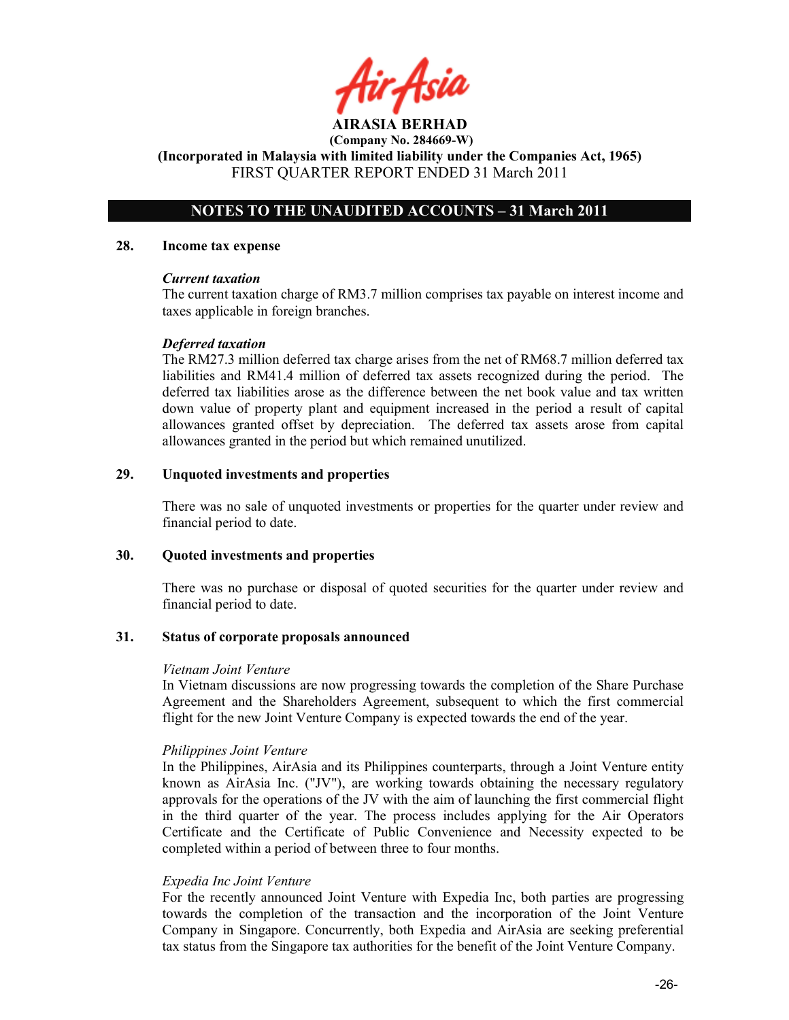hir Asid

## NOTES TO THE UNAUDITED ACCOUNTS – 31 March 2011

#### 28. Income tax expense

#### Current taxation

The current taxation charge of RM3.7 million comprises tax payable on interest income and taxes applicable in foreign branches.

#### Deferred taxation

The RM27.3 million deferred tax charge arises from the net of RM68.7 million deferred tax liabilities and RM41.4 million of deferred tax assets recognized during the period. The deferred tax liabilities arose as the difference between the net book value and tax written down value of property plant and equipment increased in the period a result of capital allowances granted offset by depreciation. The deferred tax assets arose from capital allowances granted in the period but which remained unutilized.

#### 29. Unquoted investments and properties

There was no sale of unquoted investments or properties for the quarter under review and financial period to date.

#### 30. Quoted investments and properties

There was no purchase or disposal of quoted securities for the quarter under review and financial period to date.

#### 31. Status of corporate proposals announced

#### Vietnam Joint Venture

In Vietnam discussions are now progressing towards the completion of the Share Purchase Agreement and the Shareholders Agreement, subsequent to which the first commercial flight for the new Joint Venture Company is expected towards the end of the year.

#### Philippines Joint Venture

In the Philippines, AirAsia and its Philippines counterparts, through a Joint Venture entity known as AirAsia Inc. ("JV"), are working towards obtaining the necessary regulatory approvals for the operations of the JV with the aim of launching the first commercial flight in the third quarter of the year. The process includes applying for the Air Operators Certificate and the Certificate of Public Convenience and Necessity expected to be completed within a period of between three to four months.

#### Expedia Inc Joint Venture

For the recently announced Joint Venture with Expedia Inc, both parties are progressing towards the completion of the transaction and the incorporation of the Joint Venture Company in Singapore. Concurrently, both Expedia and AirAsia are seeking preferential tax status from the Singapore tax authorities for the benefit of the Joint Venture Company.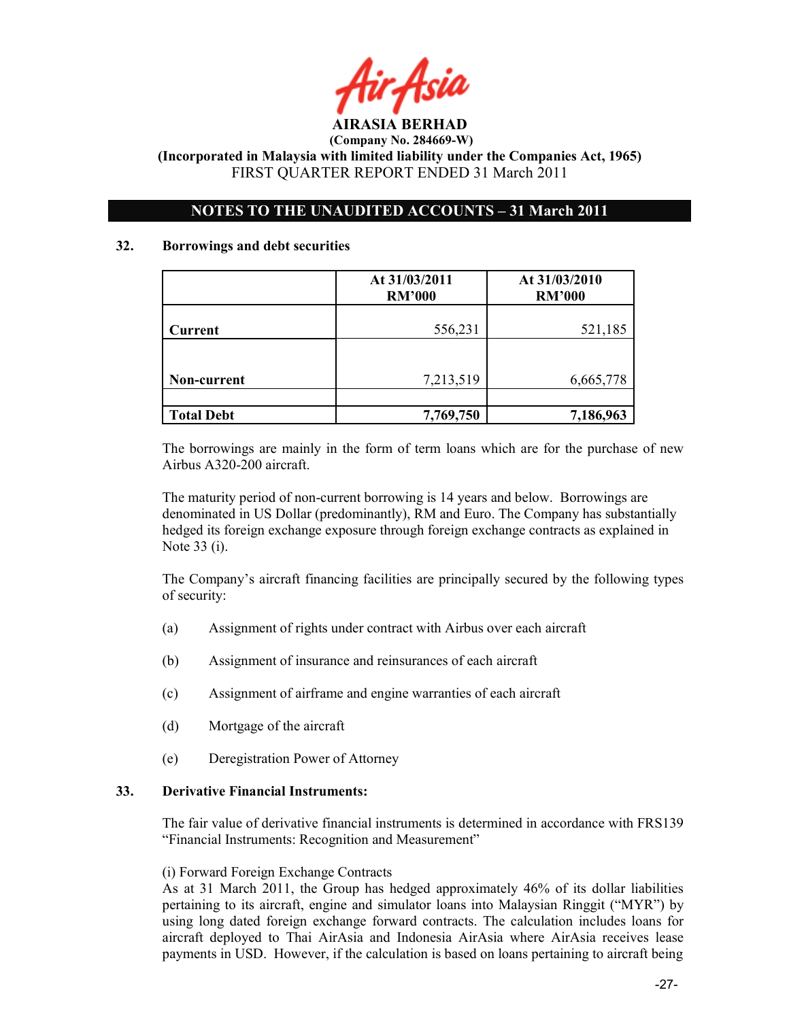

## NOTES TO THE UNAUDITED ACCOUNTS - 31 March 2011

#### 32. Borrowings and debt securities

|                   | At 31/03/2011<br><b>RM'000</b> | At 31/03/2010<br><b>RM'000</b> |
|-------------------|--------------------------------|--------------------------------|
| Current           | 556,231                        | 521,185                        |
|                   |                                |                                |
| Non-current       | 7,213,519                      | 6,665,778                      |
|                   |                                |                                |
| <b>Total Debt</b> | 7,769,750                      | 7,186,963                      |

The borrowings are mainly in the form of term loans which are for the purchase of new Airbus A320-200 aircraft.

The maturity period of non-current borrowing is 14 years and below. Borrowings are denominated in US Dollar (predominantly), RM and Euro. The Company has substantially hedged its foreign exchange exposure through foreign exchange contracts as explained in Note 33 (i).

The Company's aircraft financing facilities are principally secured by the following types of security:

- (a) Assignment of rights under contract with Airbus over each aircraft
- (b) Assignment of insurance and reinsurances of each aircraft
- (c) Assignment of airframe and engine warranties of each aircraft
- (d) Mortgage of the aircraft
- (e) Deregistration Power of Attorney

#### 33. Derivative Financial Instruments:

The fair value of derivative financial instruments is determined in accordance with FRS139 "Financial Instruments: Recognition and Measurement"

#### (i) Forward Foreign Exchange Contracts

As at 31 March 2011, the Group has hedged approximately 46% of its dollar liabilities pertaining to its aircraft, engine and simulator loans into Malaysian Ringgit ("MYR") by using long dated foreign exchange forward contracts. The calculation includes loans for aircraft deployed to Thai AirAsia and Indonesia AirAsia where AirAsia receives lease payments in USD. However, if the calculation is based on loans pertaining to aircraft being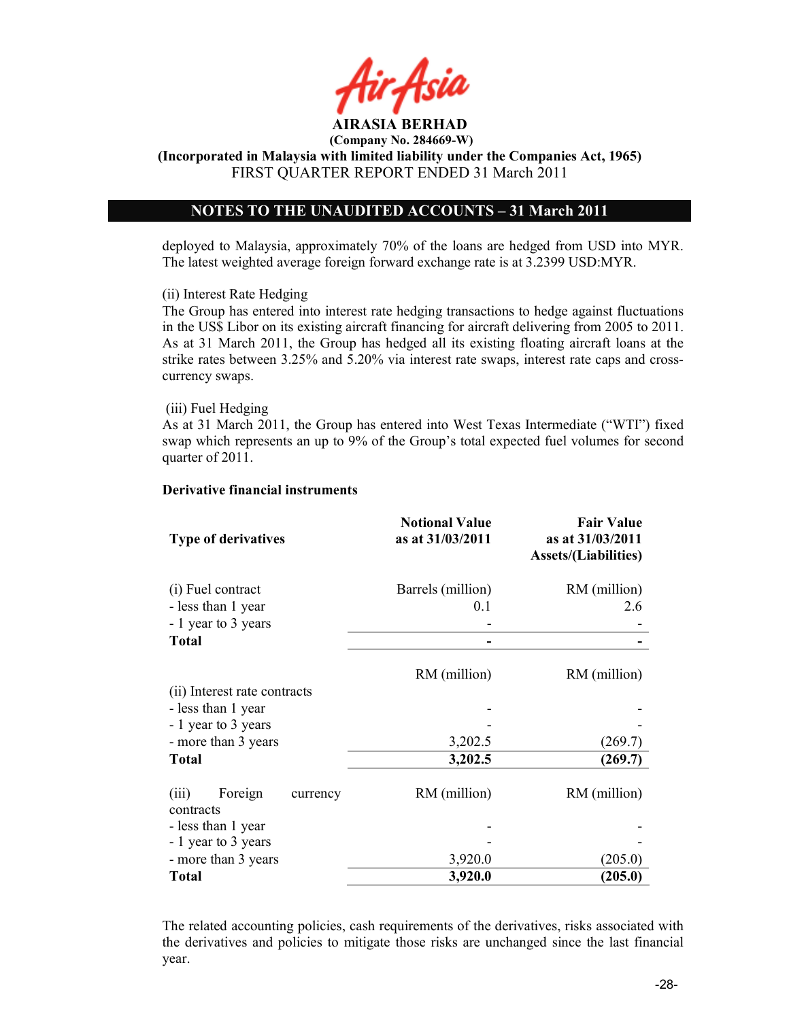(Incorporated in Malaysia with limited liability under the Companies Act, 1965) FIRST QUARTER REPORT ENDED 31 March 2011

## NOTES TO THE UNAUDITED ACCOUNTS - 31 March 2011

deployed to Malaysia, approximately 70% of the loans are hedged from USD into MYR. The latest weighted average foreign forward exchange rate is at 3.2399 USD:MYR.

#### (ii) Interest Rate Hedging

The Group has entered into interest rate hedging transactions to hedge against fluctuations in the US\$ Libor on its existing aircraft financing for aircraft delivering from 2005 to 2011. As at 31 March 2011, the Group has hedged all its existing floating aircraft loans at the strike rates between 3.25% and 5.20% via interest rate swaps, interest rate caps and crosscurrency swaps.

#### (iii) Fuel Hedging

As at 31 March 2011, the Group has entered into West Texas Intermediate ("WTI") fixed swap which represents an up to 9% of the Group's total expected fuel volumes for second quarter of 2011.

#### Derivative financial instruments

| <b>Type of derivatives</b>                                     | <b>Notional Value</b><br>as at 31/03/2011 | <b>Fair Value</b><br>as at 31/03/2011<br><b>Assets/(Liabilities)</b> |
|----------------------------------------------------------------|-------------------------------------------|----------------------------------------------------------------------|
| (i) Fuel contract<br>- less than 1 year<br>- 1 year to 3 years | Barrels (million)<br>0.1                  | RM (million)<br>2.6                                                  |
| Total                                                          |                                           |                                                                      |
| (ii) Interest rate contracts                                   | RM (million)                              | RM (million)                                                         |
| - less than 1 year                                             |                                           |                                                                      |
| - 1 year to 3 years                                            |                                           |                                                                      |
| - more than 3 years                                            | 3,202.5                                   | (269.7)                                                              |
| <b>Total</b>                                                   | 3,202.5                                   | (269.7)                                                              |
| Foreign<br>(iii)<br>currency<br>contracts                      | RM (million)                              | RM (million)                                                         |
| - less than 1 year                                             |                                           |                                                                      |
| - 1 year to 3 years                                            |                                           |                                                                      |
| - more than 3 years                                            | 3,920.0                                   | (205.0)                                                              |
| <b>Total</b>                                                   | 3,920.0                                   | (205.0)                                                              |

The related accounting policies, cash requirements of the derivatives, risks associated with the derivatives and policies to mitigate those risks are unchanged since the last financial year.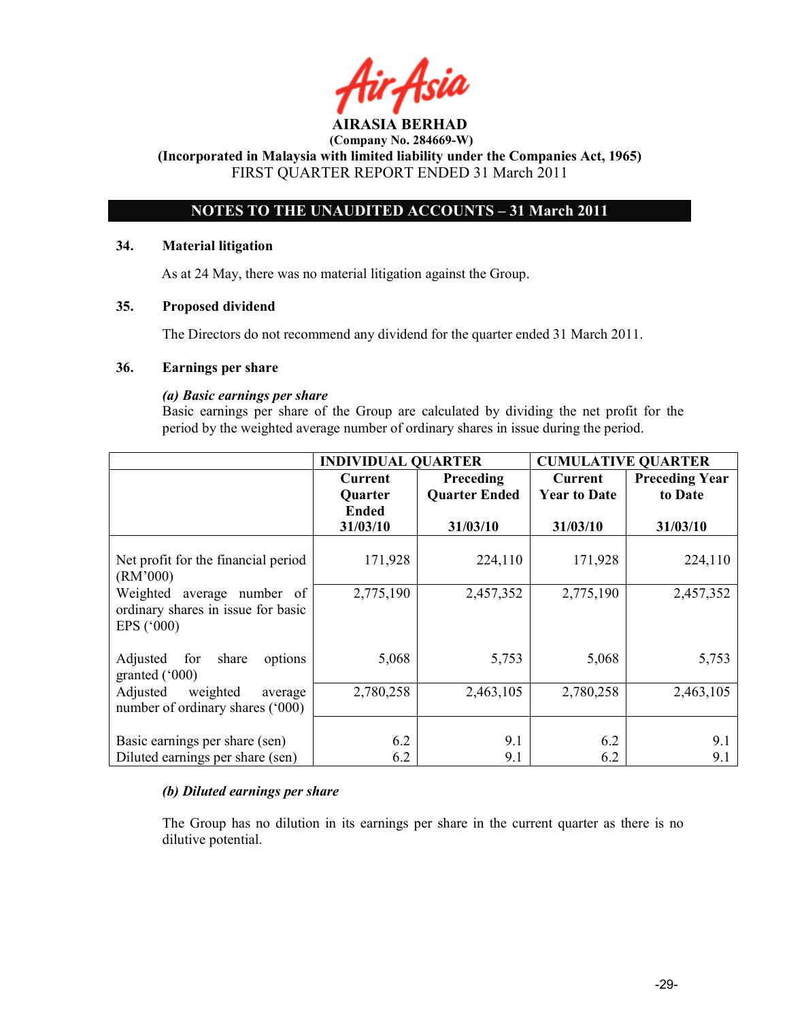# OTES TO THE UAUDITED ACCOUTS – 31 March 2011

#### 34. Material litigation

As at 24 May, there was no material litigation against the Group.

## 35. Proposed dividend

The Directors do not recommend any dividend for the quarter ended 31 March 2011.

#### 36. Earnings per share

#### (a) Basic earnings per share

 Basic earnings per share of the Group are calculated by dividing the net profit for the period by the weighted average number of ordinary shares in issue during the period.

|                                                                                            | <b>INDIVIDUAL QUARTER</b> |                      | <b>CUMULATIVE QUARTER</b> |                       |
|--------------------------------------------------------------------------------------------|---------------------------|----------------------|---------------------------|-----------------------|
|                                                                                            | Current                   | Preceding            | Current                   | <b>Preceding Year</b> |
|                                                                                            | <b>Quarter</b>            | <b>Quarter Ended</b> | <b>Year to Date</b>       | to Date               |
|                                                                                            | <b>Ended</b>              |                      |                           |                       |
|                                                                                            | 31/03/10                  | 31/03/10             | 31/03/10                  | 31/03/10              |
| Net profit for the financial period<br>(RM'000)                                            | 171,928                   | 224,110              | 171,928                   | 224,110               |
| Weighted<br>average number of<br>ordinary shares in issue for basic<br>EPS $(^{\circ}000)$ | 2,775,190                 | 2,457,352            | 2,775,190                 | 2,457,352             |
| for<br>Adjusted<br>share<br>options<br>granted $(000)$                                     | 5,068                     | 5,753                | 5,068                     | 5,753                 |
| Adjusted<br>weighted<br>average<br>number of ordinary shares ('000)                        | 2,780,258                 | 2,463,105            | 2,780,258                 | 2,463,105             |
|                                                                                            |                           |                      |                           |                       |
| Basic earnings per share (sen)                                                             | 6.2                       | 9.1                  | 6.2                       | 9.1                   |
| Diluted earnings per share (sen)                                                           | 6.2                       | 9.1                  | 6.2                       | 9.1                   |

#### (b) Diluted earnings per share

 The Group has no dilution in its earnings per share in the current quarter as there is no dilutive potential.